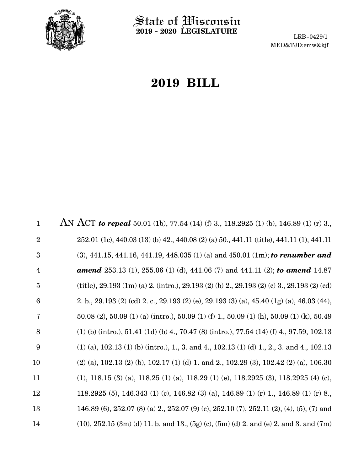

 $\operatorname{\mathsf{State}}$  of Wisconsin **2019 - 2020 LEGISLATURE**

LRB-0429/1 MED&TJD:emw&kjf

# **2019 BILL**

AN ACT *to repeal* 50.01 (1b), 77.54 (14) (f) 3., 118.2925 (1) (b), 146.89 (1) (r) 3., 252.01 (1c), 440.03 (13) (b) 42., 440.08 (2) (a) 50., 441.11 (title), 441.11 (1), 441.11 (3), 441.15, 441.16, 441.19, 448.035 (1) (a) and 450.01 (1m); *to renumber and amend* 253.13 (1), 255.06 (1) (d), 441.06 (7) and 441.11 (2); *to amend* 14.87 (title), 29.193 (1m) (a) 2. (intro.), 29.193 (2) (b) 2., 29.193 (2) (c) 3., 29.193 (2) (cd) 2. b., 29.193 (2) (cd) 2. c., 29.193 (2) (e), 29.193 (3) (a), 45.40 (1g) (a), 46.03 (44), 50.08 (2), 50.09 (1) (a) (intro.), 50.09 (1) (f) 1., 50.09 (1) (h), 50.09 (1) (k), 50.49 (1) (b) (intro.), 51.41 (1d) (b) 4., 70.47 (8) (intro.), 77.54 (14) (f) 4., 97.59, 102.13 (1) (a), 102.13 (1) (b) (intro.), 1., 3. and 4., 102.13 (1) (d) 1., 2., 3. and 4., 102.13 (2) (a), 102.13 (2) (b), 102.17 (1) (d) 1. and 2., 102.29 (3), 102.42 (2) (a), 106.30 (1), 118.15 (3) (a), 118.25 (1) (a), 118.29 (1) (e), 118.2925 (3), 118.2925 (4) (c), 118.2925 (5), 146.343 (1) (c), 146.82 (3) (a), 146.89 (1) (r) 1., 146.89 (1) (r) 8., 146.89 (6), 252.07 (8) (a) 2., 252.07 (9) (c), 252.10 (7), 252.11 (2), (4), (5), (7) and  $(10)$ ,  $252.15$   $(3m)$   $(d)$  11. b. and 13.,  $(5g)$   $(c)$ ,  $(5m)$   $(d)$  2. and  $(e)$  2. and 3. and  $(7m)$ 1 2 3 4 5 6 7 8 9 10 11 12 13 14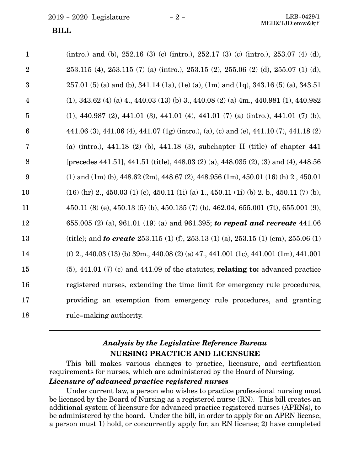#### **BILL**

| $\mathbf{1}$    | (intro.) and (b), $252.16$ (3) (c) (intro.), $252.17$ (3) (c) (intro.), $253.07$ (4) (d),                  |
|-----------------|------------------------------------------------------------------------------------------------------------|
| $\overline{2}$  | $253.115$ (4), $253.115$ (7) (a) (intro.), $253.15$ (2), $255.06$ (2) (d), $255.07$ (1) (d),               |
| 3               | $257.01(5)$ (a) and (b), 341.14 (1a), (1e) (a), (1m) and (1q), 343.16 (5) (a), 343.51                      |
| $\overline{4}$  | $(1), 343.62 (4) (a) 4, 440.03 (13) (b) 3, 440.08 (2) (a) 4m, 440.981 (1), 440.982$                        |
| $\overline{5}$  | $(1)$ , 440.987 $(2)$ , 441.01 $(3)$ , 441.01 $(4)$ , 441.01 $(7)$ $(a)$ $(intro.)$ , 441.01 $(7)$ $(b)$ , |
| $6\phantom{1}6$ | 441.06 (3), 441.06 (4), 441.07 (1g) (intro.), (a), (c) and (e), 441.10 (7), 441.18 (2)                     |
| $\overline{7}$  | (a) (intro.), 441.18 (2) (b), 441.18 (3), subchapter II (title) of chapter 441                             |
| 8               | [precedes 441.51], 441.51 (title), 448.03 (2) (a), 448.035 (2), (3) and (4), 448.56                        |
| 9               | (1) and (1m) (b), $448.62$ (2m), $448.67$ (2), $448.956$ (1m), $450.01$ (16) (h) 2, $450.01$               |
| 10              | $(16)$ (hr) 2, 450.03 (1) (e), 450.11 (1i) (a) 1, 450.11 (1i) (b) 2, b., 450.11 (7) (b),                   |
| 11              | 450.11 (8) (e), 450.13 (5) (b), 450.135 (7) (b), 462.04, 655.001 (7t), 655.001 (9),                        |
| 12              | 655.005 (2) (a), 961.01 (19) (a) and 961.395; to repeal and recreate 441.06                                |
| 13              | (title); and <b>to create</b> 253.115 (1) (f), 253.13 (1) (a), 253.15 (1) (em), 255.06 (1)                 |
| 14              | (f) 2, 440.03 (13) (b) 39m, 440.08 (2) (a) 47, 441.001 (1c), 441.001 (1m), 441.001                         |
| 15              | $(5)$ , 441.01 $(7)$ (c) and 441.09 of the statutes; <b>relating to:</b> advanced practice                 |
| 16              | registered nurses, extending the time limit for emergency rule procedures,                                 |
| 17              | providing an exemption from emergency rule procedures, and granting                                        |
| 18              | rule-making authority.                                                                                     |

## *Analysis by the Legislative Reference Bureau* **NURSING PRACTICE AND LICENSURE**

This bill makes various changes to practice, licensure, and certification requirements for nurses, which are administered by the Board of Nursing.

#### *Licensure of advanced practice registered nurses*

Under current law, a person who wishes to practice professional nursing must be licensed by the Board of Nursing as a registered nurse (RN). This bill creates an additional system of licensure for advanced practice registered nurses (APRNs), to be administered by the board. Under the bill, in order to apply for an APRN license, a person must 1) hold, or concurrently apply for, an RN license; 2) have completed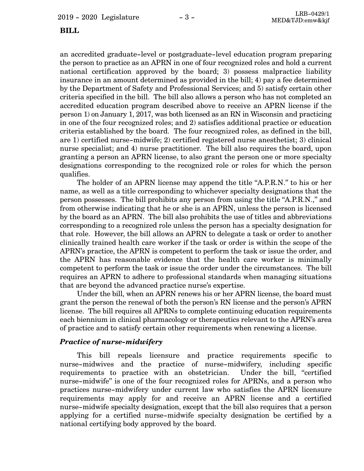#### **BILL**

an accredited graduate-level or postgraduate-level education program preparing the person to practice as an APRN in one of four recognized roles and hold a current national certification approved by the board; 3) possess malpractice liability insurance in an amount determined as provided in the bill; 4) pay a fee determined by the Department of Safety and Professional Services; and 5) satisfy certain other criteria specified in the bill. The bill also allows a person who has not completed an accredited education program described above to receive an APRN license if the person 1) on January 1, 2017, was both licensed as an RN in Wisconsin and practicing in one of the four recognized roles; and 2) satisfies additional practice or education criteria established by the board. The four recognized roles, as defined in the bill, are 1) certified nurse-midwife; 2) certified registered nurse anesthetist; 3) clinical nurse specialist; and 4) nurse practitioner. The bill also requires the board, upon granting a person an APRN license, to also grant the person one or more specialty designations corresponding to the recognized role or roles for which the person qualifies.

The holder of an APRN license may append the title "A.P.R.N." to his or her name, as well as a title corresponding to whichever specialty designations that the person possesses. The bill prohibits any person from using the title "A.P.R.N.," and from otherwise indicating that he or she is an APRN, unless the person is licensed by the board as an APRN. The bill also prohibits the use of titles and abbreviations corresponding to a recognized role unless the person has a specialty designation for that role. However, the bill allows an APRN to delegate a task or order to another clinically trained health care worker if the task or order is within the scope of the APRN's practice, the APRN is competent to perform the task or issue the order, and the APRN has reasonable evidence that the health care worker is minimally competent to perform the task or issue the order under the circumstances. The bill requires an APRN to adhere to professional standards when managing situations that are beyond the advanced practice nurse's expertise.

Under the bill, when an APRN renews his or her APRN license, the board must grant the person the renewal of both the person's RN license and the person's APRN license. The bill requires all APRNs to complete continuing education requirements each biennium in clinical pharmacology or therapeutics relevant to the APRN's area of practice and to satisfy certain other requirements when renewing a license.

### *Practice of nurse-midwifery*

This bill repeals licensure and practice requirements specific to nurse-midwives and the practice of nurse-midwifery, including specific requirements to practice with an obstetrician. Under the bill, "certified nurse-midwife" is one of the four recognized roles for APRNs, and a person who practices nurse-midwifery under current law who satisfies the APRN licensure requirements may apply for and receive an APRN license and a certified nurse-midwife specialty designation, except that the bill also requires that a person applying for a certified nurse-midwife specialty designation be certified by a national certifying body approved by the board.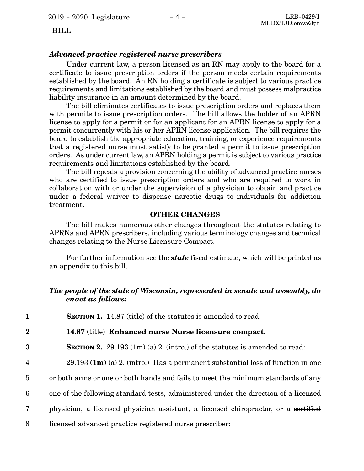### **BILL**

#### *Advanced practice registered nurse prescribers*

Under current law, a person licensed as an RN may apply to the board for a certificate to issue prescription orders if the person meets certain requirements established by the board. An RN holding a certificate is subject to various practice requirements and limitations established by the board and must possess malpractice liability insurance in an amount determined by the board.

The bill eliminates certificates to issue prescription orders and replaces them with permits to issue prescription orders. The bill allows the holder of an APRN license to apply for a permit or for an applicant for an APRN license to apply for a permit concurrently with his or her APRN license application. The bill requires the board to establish the appropriate education, training, or experience requirements that a registered nurse must satisfy to be granted a permit to issue prescription orders. As under current law, an APRN holding a permit is subject to various practice requirements and limitations established by the board.

The bill repeals a provision concerning the ability of advanced practice nurses who are certified to issue prescription orders and who are required to work in collaboration with or under the supervision of a physician to obtain and practice under a federal waiver to dispense narcotic drugs to individuals for addiction treatment.

#### **OTHER CHANGES**

The bill makes numerous other changes throughout the statutes relating to APRNs and APRN prescribers, including various terminology changes and technical changes relating to the Nurse Licensure Compact.

For further information see the *state* fiscal estimate, which will be printed as an appendix to this bill.

### *The people of the state of Wisconsin, represented in senate and assembly, do enact as follows:*

**SECTION 1.** 14.87 (title) of the statutes is amended to read: 1

- **14.87** (title) **Enhanced nurse Nurse licensure compact.** 2
- **SECTION 2.**  $29.193 \text{ (1m)}$  (a) 2. (intro.) of the statutes is amended to read: 3
- 29.193 **(1m)** (a) 2. (intro.) Has a permanent substantial loss of function in one 4
- or both arms or one or both hands and fails to meet the minimum standards of any 5
- one of the following standard tests, administered under the direction of a licensed 6
- physician, a licensed physician assistant, a licensed chiropractor, or a certified 7
- licensed advanced practice registered nurse prescriber: 8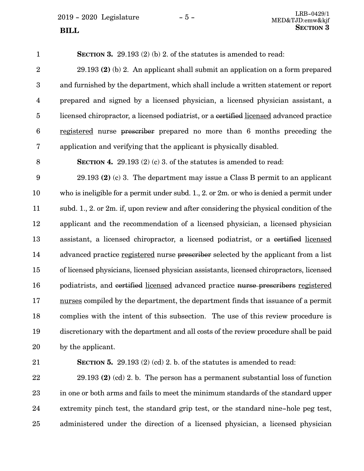**SECTION** 3

**SECTION 3.** 29.193 (2) (b) 2. of the statutes is amended to read: 29.193 **(2)** (b) 2. An applicant shall submit an application on a form prepared and furnished by the department, which shall include a written statement or report prepared and signed by a licensed physician, a licensed physician assistant, a licensed chiropractor, a licensed podiatrist, or a certified licensed advanced practice registered nurse prescriber prepared no more than 6 months preceding the application and verifying that the applicant is physically disabled. **SECTION 4.** 29.193 (2) (c) 3. of the statutes is amended to read: 29.193 **(2)** (c) 3. The department may issue a Class B permit to an applicant who is ineligible for a permit under subd. 1., 2. or 2m. or who is denied a permit under subd. 1., 2. or 2m. if, upon review and after considering the physical condition of the applicant and the recommendation of a licensed physician, a licensed physician assistant, a licensed chiropractor, a licensed podiatrist, or a certified licensed advanced practice registered nurse prescriber selected by the applicant from a list of licensed physicians, licensed physician assistants, licensed chiropractors, licensed podiatrists, and certified licensed advanced practice nurse prescribers registered nurses compiled by the department, the department finds that issuance of a permit complies with the intent of this subsection. The use of this review procedure is discretionary with the department and all costs of the review procedure shall be paid 1 2 3 4 5 6 7 8 9 10 11 12 13 14 15 16 17 18 19

21

20

by the applicant.

**SECTION 5.** 29.193 (2) (cd) 2. b. of the statutes is amended to read:

29.193 **(2)** (cd) 2. b. The person has a permanent substantial loss of function in one or both arms and fails to meet the minimum standards of the standard upper extremity pinch test, the standard grip test, or the standard nine-hole peg test, administered under the direction of a licensed physician, a licensed physician 22 23 24 25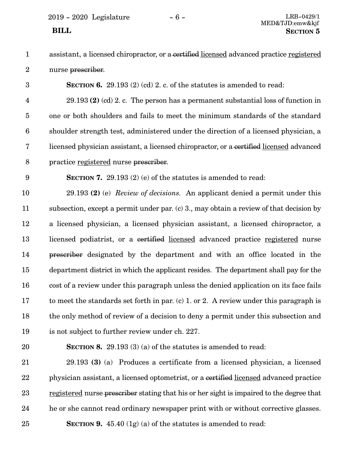2019 - 2020 Legislature - 6 - LRB-0429/1

assistant, a licensed chiropractor, or a certified licensed advanced practice registered nurse prescriber. 1 2

**SECTION 6.** 29.193 (2) (cd) 2. c. of the statutes is amended to read:

29.193 **(2)** (cd) 2. c. The person has a permanent substantial loss of function in one or both shoulders and fails to meet the minimum standards of the standard shoulder strength test, administered under the direction of a licensed physician, a licensed physician assistant, a licensed chiropractor, or a certified licensed advanced practice registered nurse prescriber. 4 5 6 7 8

9

3

**SECTION 7.** 29.193 (2) (e) of the statutes is amended to read:

29.193 **(2)** (e) *Review of decisions.* An applicant denied a permit under this subsection, except a permit under par. (c) 3., may obtain a review of that decision by a licensed physician, a licensed physician assistant, a licensed chiropractor, a licensed podiatrist, or a certified licensed advanced practice registered nurse prescriber designated by the department and with an office located in the department district in which the applicant resides. The department shall pay for the cost of a review under this paragraph unless the denied application on its face fails to meet the standards set forth in par. (c) 1. or 2. A review under this paragraph is the only method of review of a decision to deny a permit under this subsection and is not subject to further review under ch. 227. 10 11 12 13 14 15 16 17 18 19

20

**SECTION 8.** 29.193 (3) (a) of the statutes is amended to read:

29.193 **(3)** (a) Produces a certificate from a licensed physician, a licensed physician assistant, a licensed optometrist, or a certified licensed advanced practice registered nurse prescriber stating that his or her sight is impaired to the degree that he or she cannot read ordinary newspaper print with or without corrective glasses. **SECTION 9.** 45.40 (1g) (a) of the statutes is amended to read: 21 22 23 24 25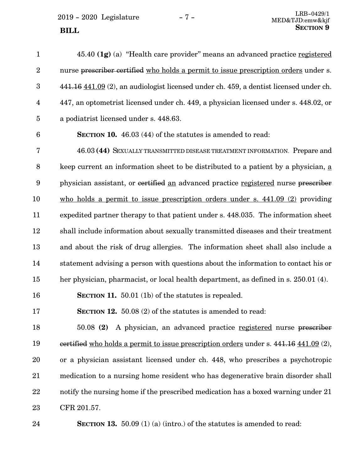$2019 - 2020$  Legislature  $-7 -$  LRB-0429/1 **SECTION** 9

45.40 **(1g)** (a) "Health care provider" means an advanced practice registered nurse prescriber certified who holds a permit to issue prescription orders under s. 441.16 441.09 (2), an audiologist licensed under ch. 459, a dentist licensed under ch. 447, an optometrist licensed under ch. 449, a physician licensed under s. 448.02, or a podiatrist licensed under s. 448.63. **SECTION 10.** 46.03 (44) of the statutes is amended to read: 46.03 **(44)** SEXUALLY TRANSMITTED DISEASE TREATMENT INFORMATION. Prepare and keep current an information sheet to be distributed to a patient by a physician, a physician assistant, or certified an advanced practice registered nurse prescriber who holds a permit to issue prescription orders under s. 441.09 (2) providing expedited partner therapy to that patient under s. 448.035. The information sheet shall include information about sexually transmitted diseases and their treatment and about the risk of drug allergies. The information sheet shall also include a statement advising a person with questions about the information to contact his or her physician, pharmacist, or local health department, as defined in s. 250.01 (4). **SECTION 11.** 50.01 (1b) of the statutes is repealed. **SECTION 12.** 50.08 (2) of the statutes is amended to read: 50.08 **(2)** A physician, an advanced practice registered nurse prescriber certified who holds a permit to issue prescription orders under s. 441.16 441.09 (2), or a physician assistant licensed under ch. 448, who prescribes a psychotropic medication to a nursing home resident who has degenerative brain disorder shall 1 2 3 4 5 6 7 8 9 10 11 12 13 14 15 16 17 18 19 20 21

notify the nursing home if the prescribed medication has a boxed warning under 21 CFR 201.57. 22 23

**SECTION 13.** 50.09 (1) (a) (intro.) of the statutes is amended to read: 24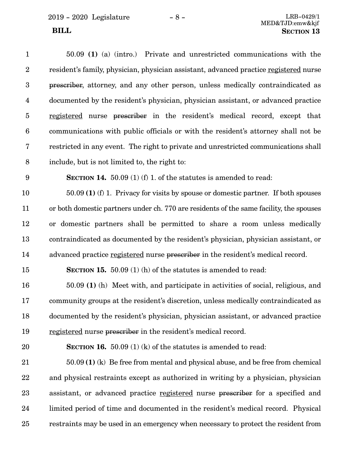2019 - 2020 Legislature - 8 - LRB-0429/1

50.09 **(1)** (a) (intro.) Private and unrestricted communications with the resident's family, physician, physician assistant, advanced practice registered nurse prescriber, attorney, and any other person, unless medically contraindicated as documented by the resident's physician, physician assistant, or advanced practice registered nurse prescriber in the resident's medical record, except that communications with public officials or with the resident's attorney shall not be restricted in any event. The right to private and unrestricted communications shall include, but is not limited to, the right to: **SECTION 14.** 50.09 (1) (f) 1. of the statutes is amended to read: 50.09 **(1)** (f) 1. Privacy for visits by spouse or domestic partner. If both spouses or both domestic partners under ch. 770 are residents of the same facility, the spouses or domestic partners shall be permitted to share a room unless medically contraindicated as documented by the resident's physician, physician assistant, or advanced practice registered nurse prescriber in the resident's medical record. **SECTION 15.** 50.09 (1) (h) of the statutes is amended to read: 50.09 **(1)** (h) Meet with, and participate in activities of social, religious, and community groups at the resident's discretion, unless medically contraindicated as documented by the resident's physician, physician assistant, or advanced practice registered nurse prescriber in the resident's medical record. **SECTION 16.** 50.09 (1) (k) of the statutes is amended to read: 50.09 **(1)** (k) Be free from mental and physical abuse, and be free from chemical and physical restraints except as authorized in writing by a physician, physician assistant, or advanced practice registered nurse prescriber for a specified and limited period of time and documented in the resident's medical record. Physical restraints may be used in an emergency when necessary to protect the resident from 1 2 3 4 5 6 7 8 9 10 11 12 13 14 15 16 17 18 19 20 21 22 23 24 25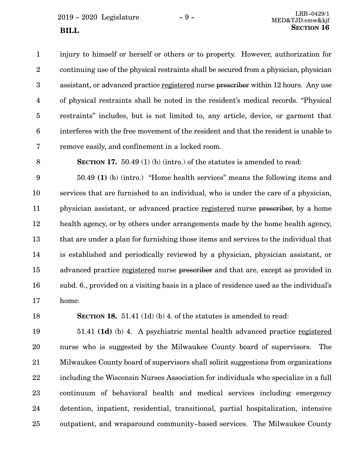injury to himself or herself or others or to property. However, authorization for continuing use of the physical restraints shall be secured from a physician, physician assistant, or advanced practice registered nurse prescriber within 12 hours. Any use of physical restraints shall be noted in the resident's medical records. "Physical restraints" includes, but is not limited to, any article, device, or garment that interferes with the free movement of the resident and that the resident is unable to remove easily, and confinement in a locked room. 1 2 3 4 5 6 7

8

**SECTION 17.** 50.49 (1) (b) (intro.) of the statutes is amended to read:

50.49 **(1)** (b) (intro.) "Home health services" means the following items and services that are furnished to an individual, who is under the care of a physician, physician assistant, or advanced practice registered nurse prescriber, by a home health agency, or by others under arrangements made by the home health agency, that are under a plan for furnishing those items and services to the individual that is established and periodically reviewed by a physician, physician assistant, or advanced practice registered nurse prescriber and that are, except as provided in subd. 6., provided on a visiting basis in a place of residence used as the individual's home: 9 10 11 12 13 14 15 16 17

18

**SECTION 18.** 51.41 (1d) (b) 4. of the statutes is amended to read:

51.41 **(1d)** (b) 4. A psychiatric mental health advanced practice registered nurse who is suggested by the Milwaukee County board of supervisors. The Milwaukee County board of supervisors shall solicit suggestions from organizations including the Wisconsin Nurses Association for individuals who specialize in a full continuum of behavioral health and medical services including emergency detention, inpatient, residential, transitional, partial hospitalization, intensive outpatient, and wraparound community-based services. The Milwaukee County 19 20 21 22 23 24 25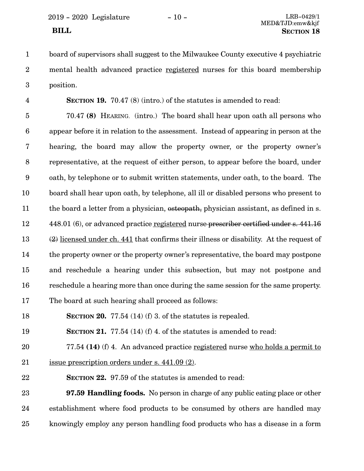2019 - 2020 Legislature - 10 - LRB-0429/1

4

board of supervisors shall suggest to the Milwaukee County executive 4 psychiatric mental health advanced practice registered nurses for this board membership position. 1 2 3

**SECTION 19.** 70.47 (8) (intro.) of the statutes is amended to read:

70.47 **(8)** HEARING. (intro.) The board shall hear upon oath all persons who appear before it in relation to the assessment. Instead of appearing in person at the hearing, the board may allow the property owner, or the property owner's representative, at the request of either person, to appear before the board, under oath, by telephone or to submit written statements, under oath, to the board. The board shall hear upon oath, by telephone, all ill or disabled persons who present to the board a letter from a physician, osteopath, physician assistant, as defined in s. 448.01 (6), or advanced practice registered nurse prescriber certified under s. 441.16 (2) licensed under ch. 441 that confirms their illness or disability. At the request of the property owner or the property owner's representative, the board may postpone and reschedule a hearing under this subsection, but may not postpone and reschedule a hearing more than once during the same session for the same property. The board at such hearing shall proceed as follows: 5 6 7 8 9 10 11 12 13 14 15 16 17

**SECTION 20.** 77.54 (14) (f) 3. of the statutes is repealed. 18

**SECTION 21.** 77.54 (14) (f) 4. of the statutes is amended to read: 19

77.54 **(14)** (f) 4. An advanced practice registered nurse who holds a permit to issue prescription orders under s. 441.09 (2). 20 21

**SECTION 22.** 97.59 of the statutes is amended to read: 22

**97.59 Handling foods.** No person in charge of any public eating place or other establishment where food products to be consumed by others are handled may knowingly employ any person handling food products who has a disease in a form 23 24 25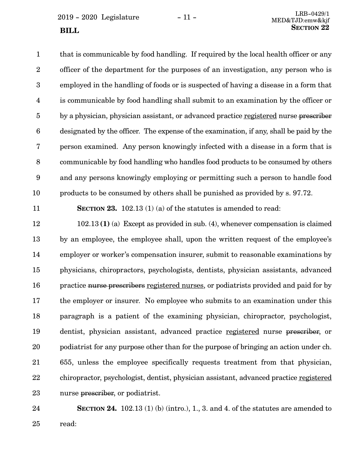$2019 - 2020$  Legislature  $-11 -$  LRB-0429/1 **SECTION** 22

that is communicable by food handling. If required by the local health officer or any officer of the department for the purposes of an investigation, any person who is employed in the handling of foods or is suspected of having a disease in a form that is communicable by food handling shall submit to an examination by the officer or by a physician, physician assistant, or advanced practice registered nurse prescriber designated by the officer. The expense of the examination, if any, shall be paid by the person examined. Any person knowingly infected with a disease in a form that is communicable by food handling who handles food products to be consumed by others and any persons knowingly employing or permitting such a person to handle food products to be consumed by others shall be punished as provided by s. 97.72. 1 2 3 4 5 6 7 8 9 10

11

**SECTION 23.** 102.13 (1) (a) of the statutes is amended to read:

102.13 **(1)** (a) Except as provided in sub. (4), whenever compensation is claimed by an employee, the employee shall, upon the written request of the employee's employer or worker's compensation insurer, submit to reasonable examinations by physicians, chiropractors, psychologists, dentists, physician assistants, advanced practice nurse prescribers registered nurses, or podiatrists provided and paid for by the employer or insurer. No employee who submits to an examination under this paragraph is a patient of the examining physician, chiropractor, psychologist, dentist, physician assistant, advanced practice registered nurse prescriber, or podiatrist for any purpose other than for the purpose of bringing an action under ch. 655, unless the employee specifically requests treatment from that physician, chiropractor, psychologist, dentist, physician assistant, advanced practice registered nurse prescriber, or podiatrist. 12 13 14 15 16 17 18 19 20 21 22 23

**SECTION 24.** 102.13 (1) (b) (intro.), 1, 3, and 4, of the statutes are amended to read: 24 25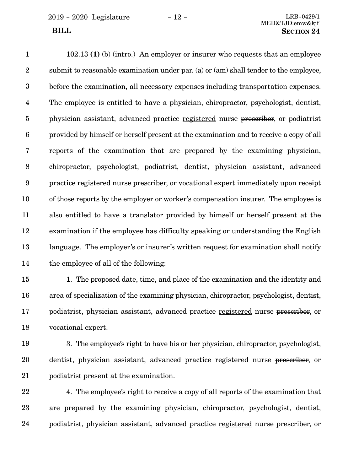102.13 **(1)** (b) (intro.) An employer or insurer who requests that an employee submit to reasonable examination under par. (a) or (am) shall tender to the employee, before the examination, all necessary expenses including transportation expenses. The employee is entitled to have a physician, chiropractor, psychologist, dentist, physician assistant, advanced practice registered nurse prescriber, or podiatrist provided by himself or herself present at the examination and to receive a copy of all reports of the examination that are prepared by the examining physician, chiropractor, psychologist, podiatrist, dentist, physician assistant, advanced practice registered nurse prescriber, or vocational expert immediately upon receipt of those reports by the employer or worker's compensation insurer. The employee is also entitled to have a translator provided by himself or herself present at the examination if the employee has difficulty speaking or understanding the English language. The employer's or insurer's written request for examination shall notify the employee of all of the following: 1 2 3 4 5 6 7 8 9 10 11 12 13 14

1. The proposed date, time, and place of the examination and the identity and area of specialization of the examining physician, chiropractor, psychologist, dentist, podiatrist, physician assistant, advanced practice registered nurse prescriber, or vocational expert. 15 16 17 18

3. The employee's right to have his or her physician, chiropractor, psychologist, dentist, physician assistant, advanced practice registered nurse prescriber, or podiatrist present at the examination. 19 20 21

4. The employee's right to receive a copy of all reports of the examination that are prepared by the examining physician, chiropractor, psychologist, dentist, podiatrist, physician assistant, advanced practice registered nurse prescriber, or 22 23 24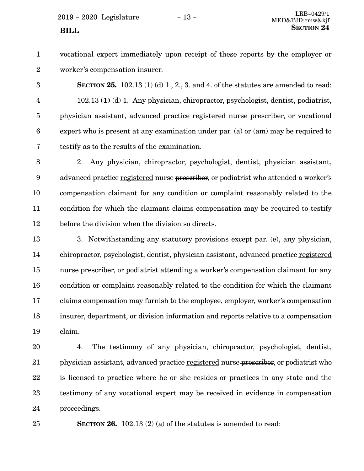$2019 - 2020$  Legislature  $-13 -$ 

vocational expert immediately upon receipt of these reports by the employer or worker's compensation insurer. 1 2

**SECTION 25.** 102.13 (1) (d) 1, 2, 3, and 4, of the statutes are amended to read: 102.13 **(1)** (d) 1. Any physician, chiropractor, psychologist, dentist, podiatrist, physician assistant, advanced practice registered nurse prescriber, or vocational expert who is present at any examination under par. (a) or (am) may be required to testify as to the results of the examination. 3 4 5 6 7

2. Any physician, chiropractor, psychologist, dentist, physician assistant, advanced practice registered nurse prescriber, or podiatrist who attended a worker's compensation claimant for any condition or complaint reasonably related to the condition for which the claimant claims compensation may be required to testify before the division when the division so directs. 8 9 10 11 12

3. Notwithstanding any statutory provisions except par. (e), any physician, chiropractor, psychologist, dentist, physician assistant, advanced practice registered nurse prescriber, or podiatrist attending a worker's compensation claimant for any condition or complaint reasonably related to the condition for which the claimant claims compensation may furnish to the employee, employer, worker's compensation insurer, department, or division information and reports relative to a compensation claim. 13 14 15 16 17 18 19

4. The testimony of any physician, chiropractor, psychologist, dentist, physician assistant, advanced practice registered nurse prescriber, or podiatrist who is licensed to practice where he or she resides or practices in any state and the testimony of any vocational expert may be received in evidence in compensation proceedings. 20 21 22 23 24

25

**SECTION 26.** 102.13 (2) (a) of the statutes is amended to read: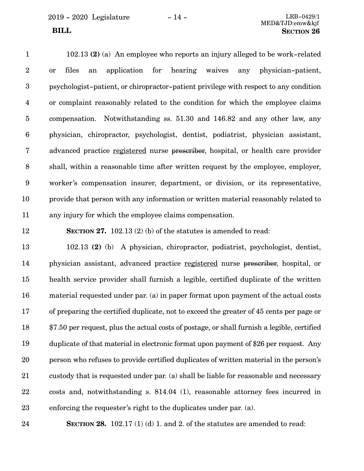2019 - 2020 Legislature - 14 - LRB-0429/1

## MED&TJD:emw&kjf **BILL** SECTION 26

102.13 **(2)** (a) An employee who reports an injury alleged to be work-related or files an application for hearing waives any physician-patient, psychologist-patient, or chiropractor-patient privilege with respect to any condition or complaint reasonably related to the condition for which the employee claims compensation. Notwithstanding ss. 51.30 and 146.82 and any other law, any physician, chiropractor, psychologist, dentist, podiatrist, physician assistant, advanced practice registered nurse prescriber, hospital, or health care provider shall, within a reasonable time after written request by the employee, employer, worker's compensation insurer, department, or division, or its representative, provide that person with any information or written material reasonably related to any injury for which the employee claims compensation. 1 2 3 4 5 6 7 8 9 10 11

12

**SECTION 27.** 102.13 (2) (b) of the statutes is amended to read:

102.13 **(2)** (b) A physician, chiropractor, podiatrist, psychologist, dentist, physician assistant, advanced practice registered nurse prescriber, hospital, or health service provider shall furnish a legible, certified duplicate of the written material requested under par. (a) in paper format upon payment of the actual costs of preparing the certified duplicate, not to exceed the greater of 45 cents per page or \$7.50 per request, plus the actual costs of postage, or shall furnish a legible, certified duplicate of that material in electronic format upon payment of \$26 per request. Any person who refuses to provide certified duplicates of written material in the person's custody that is requested under par. (a) shall be liable for reasonable and necessary costs and, notwithstanding s. 814.04 (1), reasonable attorney fees incurred in enforcing the requester's right to the duplicates under par. (a). 13 14 15 16 17 18 19 20 21 22 23

24

**SECTION 28.** 102.17 (1) (d) 1. and 2. of the statutes are amended to read: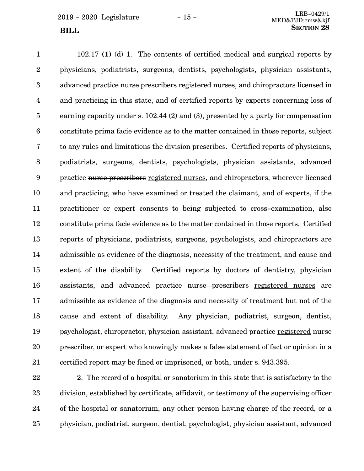102.17 **(1)** (d) 1. The contents of certified medical and surgical reports by physicians, podiatrists, surgeons, dentists, psychologists, physician assistants, advanced practice nurse prescribers registered nurses, and chiropractors licensed in and practicing in this state, and of certified reports by experts concerning loss of earning capacity under s. 102.44 (2) and (3), presented by a party for compensation constitute prima facie evidence as to the matter contained in those reports, subject to any rules and limitations the division prescribes. Certified reports of physicians, podiatrists, surgeons, dentists, psychologists, physician assistants, advanced practice nurse prescribers registered nurses, and chiropractors, wherever licensed and practicing, who have examined or treated the claimant, and of experts, if the practitioner or expert consents to being subjected to cross-examination, also constitute prima facie evidence as to the matter contained in those reports. Certified reports of physicians, podiatrists, surgeons, psychologists, and chiropractors are admissible as evidence of the diagnosis, necessity of the treatment, and cause and extent of the disability. Certified reports by doctors of dentistry, physician assistants, and advanced practice nurse prescribers registered nurses are admissible as evidence of the diagnosis and necessity of treatment but not of the cause and extent of disability. Any physician, podiatrist, surgeon, dentist, psychologist, chiropractor, physician assistant, advanced practice registered nurse prescriber, or expert who knowingly makes a false statement of fact or opinion in a certified report may be fined or imprisoned, or both, under s. 943.395. 1 2 3 4 5 6 7 8 9 10 11 12 13 14 15 16 17 18 19 20 21

2. The record of a hospital or sanatorium in this state that is satisfactory to the division, established by certificate, affidavit, or testimony of the supervising officer of the hospital or sanatorium, any other person having charge of the record, or a physician, podiatrist, surgeon, dentist, psychologist, physician assistant, advanced 22 23 24 25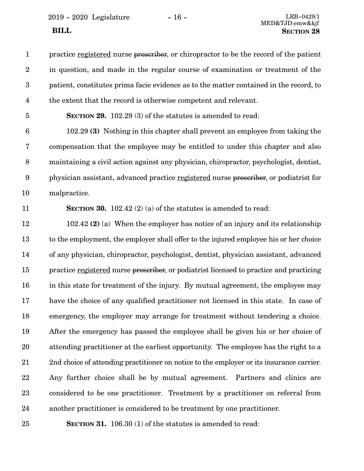2019 - 2020 Legislature - 16 - LRB-0429/1

practice registered nurse prescriber, or chiropractor to be the record of the patient in question, and made in the regular course of examination or treatment of the patient, constitutes prima facie evidence as to the matter contained in the record, to the extent that the record is otherwise competent and relevant. 1 2 3 4

**SECTION 29.** 102.29 (3) of the statutes is amended to read: 5

102.29 **(3)** Nothing in this chapter shall prevent an employee from taking the compensation that the employee may be entitled to under this chapter and also maintaining a civil action against any physician, chiropractor, psychologist, dentist, physician assistant, advanced practice registered nurse prescriber, or podiatrist for malpractice. 6 7 8 9 10

11

**SECTION 30.** 102.42 (2) (a) of the statutes is amended to read:

102.42 **(2)** (a) When the employer has notice of an injury and its relationship to the employment, the employer shall offer to the injured employee his or her choice of any physician, chiropractor, psychologist, dentist, physician assistant, advanced practice registered nurse prescriber, or podiatrist licensed to practice and practicing in this state for treatment of the injury. By mutual agreement, the employee may have the choice of any qualified practitioner not licensed in this state. In case of emergency, the employer may arrange for treatment without tendering a choice. After the emergency has passed the employee shall be given his or her choice of attending practitioner at the earliest opportunity. The employee has the right to a 2nd choice of attending practitioner on notice to the employer or its insurance carrier. Any further choice shall be by mutual agreement. Partners and clinics are considered to be one practitioner. Treatment by a practitioner on referral from another practitioner is considered to be treatment by one practitioner. 12 13 14 15 16 17 18 19 20 21 22 23 24

25

**SECTION 31.** 106.30 (1) of the statutes is amended to read: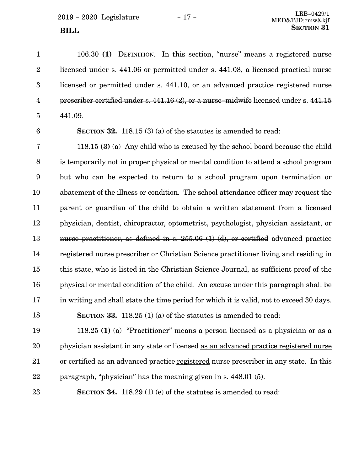$2019 - 2020$  Legislature  $-17 -$ **SECTION** 31

106.30 **(1)** DEFINITION. In this section, "nurse" means a registered nurse licensed under s. 441.06 or permitted under s. 441.08, a licensed practical nurse licensed or permitted under s. 441.10, or an advanced practice registered nurse prescriber certified under s. 441.16 (2), or a nurse-midwife licensed under s. 441.15 441.09. 1 2 3 4 5

6

**SECTION 32.** 118.15 (3) (a) of the statutes is amended to read:

118.15 **(3)** (a) Any child who is excused by the school board because the child is temporarily not in proper physical or mental condition to attend a school program but who can be expected to return to a school program upon termination or abatement of the illness or condition. The school attendance officer may request the parent or guardian of the child to obtain a written statement from a licensed physician, dentist, chiropractor, optometrist, psychologist, physician assistant, or nurse practitioner, as defined in s. 255.06 (1) (d), or certified advanced practice registered nurse prescriber or Christian Science practitioner living and residing in this state, who is listed in the Christian Science Journal, as sufficient proof of the physical or mental condition of the child. An excuse under this paragraph shall be in writing and shall state the time period for which it is valid, not to exceed 30 days. **SECTION 33.** 118.25 (1) (a) of the statutes is amended to read: 7 8 9 10 11 12 13 14 15 16 17 18

118.25 **(1)** (a) "Practitioner" means a person licensed as a physician or as a physician assistant in any state or licensed as an advanced practice registered nurse or certified as an advanced practice registered nurse prescriber in any state. In this paragraph, "physician" has the meaning given in s. 448.01 (5). 19 20 21 22

**SECTION 34.** 118.29 (1) (e) of the statutes is amended to read: 23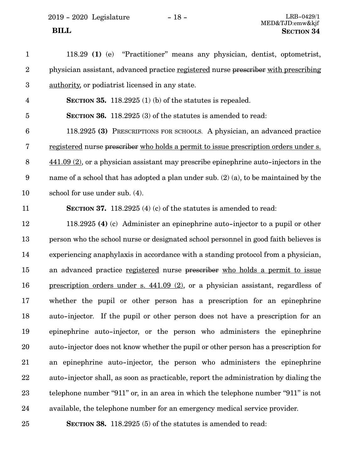| $\mathbf{1}$            | 118.29 (1) (e) "Practitioner" means any physician, dentist, optometrist,                           |
|-------------------------|----------------------------------------------------------------------------------------------------|
| $\boldsymbol{2}$        | physician assistant, advanced practice registered nurse prescriber with prescribing                |
| $\boldsymbol{3}$        | authority, or podiatrist licensed in any state.                                                    |
| $\overline{\mathbf{4}}$ | SECTION 35. 118.2925 $(1)$ (b) of the statutes is repealed.                                        |
| $\overline{5}$          | SECTION 36. 118.2925 (3) of the statutes is amended to read:                                       |
| $\boldsymbol{6}$        | 118.2925 (3) PRESCRIPTIONS FOR SCHOOLS. A physician, an advanced practice                          |
| 7                       | <u>registered</u> nurse prescriber who holds a permit to issue prescription orders under s.        |
| $8\,$                   | $\underline{441.09}$ (2), or a physician assistant may prescribe epinephrine auto-injectors in the |
| $\boldsymbol{9}$        | name of a school that has adopted a plan under sub. $(2)$ (a), to be maintained by the             |
| 10                      | school for use under sub. (4).                                                                     |
| 11                      | SECTION 37. 118.2925 $(4)$ (c) of the statutes is amended to read:                                 |
| 12                      | 118.2925 (4) (c) Administer an epinephrine auto-injector to a pupil or other                       |
| 13                      | person who the school nurse or designated school personnel in good faith believes is               |
| 14                      | experiencing anaphylaxis in accordance with a standing protocol from a physician,                  |
| 15                      | an advanced practice registered nurse prescriber who holds a permit to issue                       |
| 16                      | prescription orders under s. $441.09$ (2), or a physician assistant, regardless of                 |
| 17                      | whether the pupil or other person has a prescription for an epinephrine                            |
| 18                      | auto-injector. If the pupil or other person does not have a prescription for an                    |
| 19                      | epinephrine auto-injector, or the person who administers the epinephrine                           |
| 20                      | auto-injector does not know whether the pupil or other person has a prescription for               |
| 21                      | an epinephrine auto-injector, the person who administers the epinephrine                           |
| 22                      | auto-injector shall, as soon as practicable, report the administration by dialing the              |
| 23                      | telephone number "911" or, in an area in which the telephone number "911" is not                   |
| 24                      | available, the telephone number for an emergency medical service provider.                         |
| 25                      | <b>SECTION 38.</b> 118.2925 (5) of the statutes is amended to read:                                |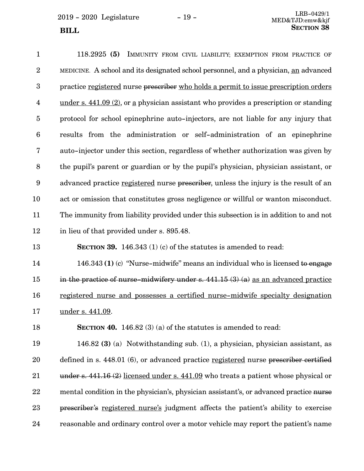$2019 - 2020$  Legislature  $-19 -$ <br> $\frac{LRB - 0429/1}{MEDkT D_{conv}l^2}$ **SECTION** 38

15

118.2925 **(5)** IMMUNITY FROM CIVIL LIABILITY; EXEMPTION FROM PRACTICE OF MEDICINE. A school and its designated school personnel, and a physician, an advanced practice registered nurse prescriber who holds a permit to issue prescription orders under s. 441.09 (2), or a physician assistant who provides a prescription or standing protocol for school epinephrine auto-injectors, are not liable for any injury that results from the administration or self-administration of an epinephrine auto-injector under this section, regardless of whether authorization was given by the pupil's parent or guardian or by the pupil's physician, physician assistant, or advanced practice registered nurse prescriber, unless the injury is the result of an act or omission that constitutes gross negligence or willful or wanton misconduct. The immunity from liability provided under this subsection is in addition to and not in lieu of that provided under s. 895.48. **SECTION 39.** 146.343 (1) (c) of the statutes is amended to read: 146.343 **(1)** (c) "Nurse-midwife" means an individual who is licensed to engage 1 2 3 4 5 6 7 8 9 10 11 12 13 14

registered nurse and possesses a certified nurse-midwife specialty designation under s. 441.09. 16 17

in the practice of nurse-midwifery under s. 441.15 (3) (a) as an advanced practice

**SECTION 40.** 146.82 (3) (a) of the statutes is amended to read: 18

146.82 **(3)** (a) Notwithstanding sub. (1), a physician, physician assistant, as defined in s. 448.01 (6), or advanced practice registered nurse prescriber certified under s. 441.16 (2) licensed under s. 441.09 who treats a patient whose physical or mental condition in the physician's, physician assistant's, or advanced practice nurse prescriber's registered nurse's judgment affects the patient's ability to exercise reasonable and ordinary control over a motor vehicle may report the patient's name 19 20 21 22 23 24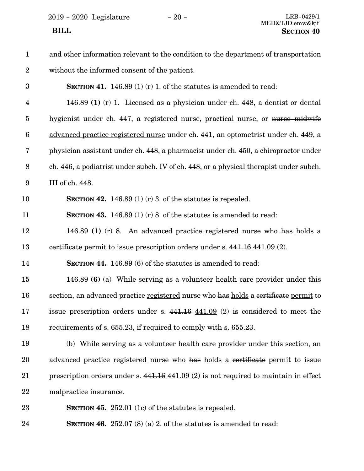$2019 - 2020$  Legislature  $-20 -$ 

| $\mathbf{1}$            | and other information relevant to the condition to the department of transportation                |
|-------------------------|----------------------------------------------------------------------------------------------------|
| $\boldsymbol{2}$        | without the informed consent of the patient.                                                       |
| $\boldsymbol{3}$        | <b>SECTION 41.</b> 146.89 (1) (r) 1. of the statutes is amended to read:                           |
| $\overline{\mathbf{4}}$ | 146.89 (1) (r) 1. Licensed as a physician under ch. 448, a dentist or dental                       |
| $\overline{5}$          | hygienist under ch. 447, a registered nurse, practical nurse, or nurse-midwife                     |
| $\boldsymbol{6}$        | advanced practice registered nurse under ch. 441, an optometrist under ch. 449, a                  |
| 7                       | physician assistant under ch. 448, a pharmacist under ch. 450, a chiropractor under                |
| $8\,$                   | ch. 446, a podiatrist under subch. IV of ch. 448, or a physical therapist under subch.             |
| $\boldsymbol{9}$        | III of ch. 448.                                                                                    |
| 10                      | SECTION 42. 146.89 (1) (r) 3. of the statutes is repealed.                                         |
| 11                      | SECTION 43. 146.89 (1) (r) 8. of the statutes is amended to read:                                  |
| 12                      | 146.89 (1) (r) 8. An advanced practice registered nurse who has holds a                            |
| 13                      | eertificate permit to issue prescription orders under s. 441.16 441.09 (2).                        |
| 14                      | SECTION 44. 146.89 (6) of the statutes is amended to read:                                         |
| 15                      | 146.89 (6) (a) While serving as a volunteer health care provider under this                        |
| 16                      | section, an advanced practice registered nurse who has holds a certificate permit to               |
| 17                      | issue prescription orders under s. $441.16 \, 441.09$ (2) is considered to meet the                |
| 18                      | requirements of s. 655.23, if required to comply with s. 655.23.                                   |
| 19                      | (b) While serving as a volunteer health care provider under this section, an                       |
| 20                      | advanced practice registered nurse who has holds a certificate permit to issue                     |
| 21                      | prescription orders under s. $441.16 \underline{441.09}$ (2) is not required to maintain in effect |
| 22                      | malpractice insurance.                                                                             |
| 23                      | SECTION 45. 252.01 (1c) of the statutes is repealed.                                               |
| 24                      | SECTION 46. $252.07(8)(a)$ 2. of the statutes is amended to read:                                  |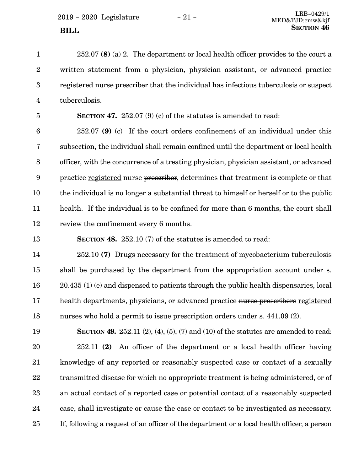2019 - 2020 Legislature - 21 -

23

| $\mathbf{1}$            | $252.07$ (8) (a) 2. The department or local health officer provides to the court a                      |
|-------------------------|---------------------------------------------------------------------------------------------------------|
| $\overline{2}$          | written statement from a physician, physician assistant, or advanced practice                           |
| $\boldsymbol{3}$        | registered nurse prescriber that the individual has infectious tuberculosis or suspect                  |
| $\overline{\mathbf{4}}$ | tuberculosis.                                                                                           |
| $\overline{5}$          | SECTION 47. 252.07 (9) (c) of the statutes is amended to read:                                          |
| $\boldsymbol{6}$        | $252.07$ (9) (c) If the court orders confinement of an individual under this                            |
| 7                       | subsection, the individual shall remain confined until the department or local health                   |
| 8                       | officer, with the concurrence of a treating physician, physician assistant, or advanced                 |
| $\boldsymbol{9}$        | practice registered nurse prescriber, determines that treatment is complete or that                     |
| 10                      | the individual is no longer a substantial threat to himself or herself or to the public                 |
| 11                      | health. If the individual is to be confined for more than 6 months, the court shall                     |
|                         |                                                                                                         |
| 12                      | review the confinement every 6 months.                                                                  |
| 13                      | <b>SECTION 48.</b> 252.10 (7) of the statutes is amended to read:                                       |
| 14                      | 252.10 (7) Drugs necessary for the treatment of mycobacterium tuberculosis                              |
| 15                      | shall be purchased by the department from the appropriation account under s.                            |
| 16                      | $20.435$ (1) (e) and dispensed to patients through the public health dispensaries, local                |
| 17                      | health departments, physicians, or advanced practice nurse prescribers registered                       |
| 18                      | nurses who hold a permit to issue prescription orders under s. 441.09 (2).                              |
| 19                      | <b>SECTION 49.</b> 252.11 $(2)$ , $(4)$ , $(5)$ , $(7)$ and $(10)$ of the statutes are amended to read: |
| 20                      | An officer of the department or a local health officer having<br>252.11(2)                              |
| $21\,$                  | knowledge of any reported or reasonably suspected case or contact of a sexually                         |

case, shall investigate or cause the case or contact to be investigated as necessary. 24

an actual contact of a reported case or potential contact of a reasonably suspected

If, following a request of an officer of the department or a local health officer, a person 25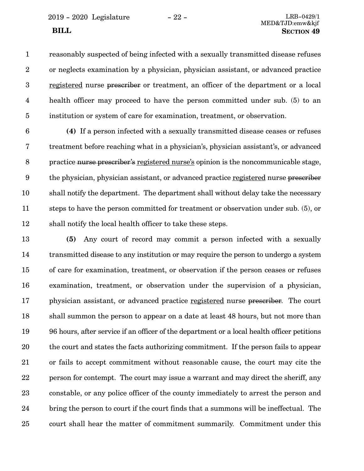2019 - 2020 Legislature - 22 - LRB-0429/1

reasonably suspected of being infected with a sexually transmitted disease refuses or neglects examination by a physician, physician assistant, or advanced practice registered nurse prescriber or treatment, an officer of the department or a local health officer may proceed to have the person committed under sub. (5) to an institution or system of care for examination, treatment, or observation. 1 2 3 4 5

**(4)** If a person infected with a sexually transmitted disease ceases or refuses treatment before reaching what in a physician's, physician assistant's, or advanced practice nurse prescriber's registered nurse's opinion is the noncommunicable stage, the physician, physician assistant, or advanced practice registered nurse prescriber shall notify the department. The department shall without delay take the necessary steps to have the person committed for treatment or observation under sub. (5), or shall notify the local health officer to take these steps. 6 7 8 9 10 11 12

**(5)** Any court of record may commit a person infected with a sexually transmitted disease to any institution or may require the person to undergo a system of care for examination, treatment, or observation if the person ceases or refuses examination, treatment, or observation under the supervision of a physician, physician assistant, or advanced practice registered nurse prescriber. The court shall summon the person to appear on a date at least 48 hours, but not more than 96 hours, after service if an officer of the department or a local health officer petitions the court and states the facts authorizing commitment. If the person fails to appear or fails to accept commitment without reasonable cause, the court may cite the person for contempt. The court may issue a warrant and may direct the sheriff, any constable, or any police officer of the county immediately to arrest the person and bring the person to court if the court finds that a summons will be ineffectual. The court shall hear the matter of commitment summarily. Commitment under this 13 14 15 16 17 18 19 20 21 22 23 24 25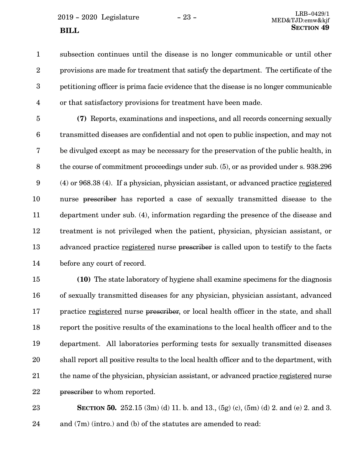subsection continues until the disease is no longer communicable or until other provisions are made for treatment that satisfy the department. The certificate of the petitioning officer is prima facie evidence that the disease is no longer communicable or that satisfactory provisions for treatment have been made. 1 2 3 4

**(7)** Reports, examinations and inspections, and all records concerning sexually transmitted diseases are confidential and not open to public inspection, and may not be divulged except as may be necessary for the preservation of the public health, in the course of commitment proceedings under sub. (5), or as provided under s. 938.296 (4) or 968.38 (4). If a physician, physician assistant, or advanced practice registered nurse prescriber has reported a case of sexually transmitted disease to the department under sub. (4), information regarding the presence of the disease and treatment is not privileged when the patient, physician, physician assistant, or advanced practice registered nurse prescriber is called upon to testify to the facts before any court of record. 5 6 7 8 9 10 11 12 13 14

**(10)** The state laboratory of hygiene shall examine specimens for the diagnosis of sexually transmitted diseases for any physician, physician assistant, advanced practice registered nurse prescriber, or local health officer in the state, and shall report the positive results of the examinations to the local health officer and to the department. All laboratories performing tests for sexually transmitted diseases shall report all positive results to the local health officer and to the department, with the name of the physician, physician assistant, or advanced practice registered nurse prescriber to whom reported. 15 16 17 18 19 20 21 22

**SECTION 50.** 252.15 (3m) (d) 11. b. and 13., (5g) (c), (5m) (d) 2. and (e) 2. and 3. and (7m) (intro.) and (b) of the statutes are amended to read: 23 24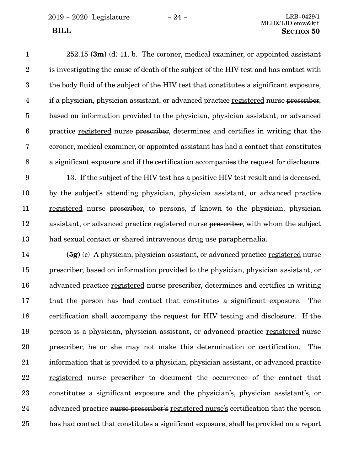2019 - 2020 Legislature - 24 - LRB-0429/1

252.15 **(3m)** (d) 11. b. The coroner, medical examiner, or appointed assistant is investigating the cause of death of the subject of the HIV test and has contact with the body fluid of the subject of the HIV test that constitutes a significant exposure, if a physician, physician assistant, or advanced practice registered nurse prescriber, based on information provided to the physician, physician assistant, or advanced practice registered nurse prescriber, determines and certifies in writing that the coroner, medical examiner, or appointed assistant has had a contact that constitutes a significant exposure and if the certification accompanies the request for disclosure. 1 2 3 4 5 6 7 8

13. If the subject of the HIV test has a positive HIV test result and is deceased, by the subject's attending physician, physician assistant, or advanced practice registered nurse prescriber, to persons, if known to the physician, physician assistant, or advanced practice registered nurse prescriber, with whom the subject had sexual contact or shared intravenous drug use paraphernalia. 9 10 11 12 13

**(5g)** (c) A physician, physician assistant, or advanced practice registered nurse prescriber, based on information provided to the physician, physician assistant, or advanced practice registered nurse prescriber, determines and certifies in writing that the person has had contact that constitutes a significant exposure. The certification shall accompany the request for HIV testing and disclosure. If the person is a physician, physician assistant, or advanced practice registered nurse prescriber, he or she may not make this determination or certification. The information that is provided to a physician, physician assistant, or advanced practice registered nurse prescriber to document the occurrence of the contact that constitutes a significant exposure and the physician's, physician assistant's, or advanced practice nurse prescriber's registered nurse's certification that the person has had contact that constitutes a significant exposure, shall be provided on a report 14 15 16 17 18 19 20 21 22 23 24 25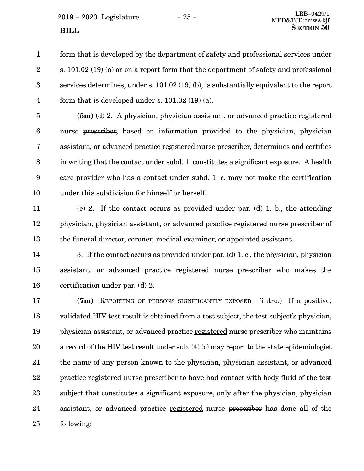form that is developed by the department of safety and professional services under s. 101.02 (19) (a) or on a report form that the department of safety and professional services determines, under s. 101.02 (19) (b), is substantially equivalent to the report form that is developed under s. 101.02 (19) (a). 1 2 3 4

**(5m)** (d) 2. A physician, physician assistant, or advanced practice registered nurse prescriber, based on information provided to the physician, physician assistant, or advanced practice registered nurse prescriber, determines and certifies in writing that the contact under subd. 1. constitutes a significant exposure. A health care provider who has a contact under subd. 1. c. may not make the certification under this subdivision for himself or herself. 5 6 7 8 9 10

(e) 2. If the contact occurs as provided under par. (d) 1. b., the attending physician, physician assistant, or advanced practice registered nurse prescriber of the funeral director, coroner, medical examiner, or appointed assistant. 11 12 13

3. If the contact occurs as provided under par. (d) 1. c., the physician, physician assistant, or advanced practice registered nurse prescriber who makes the certification under par. (d) 2. 14 15 16

**(7m)** REPORTING OF PERSONS SIGNIFICANTLY EXPOSED. (intro.) If a positive, validated HIV test result is obtained from a test subject, the test subject's physician, physician assistant, or advanced practice registered nurse prescriber who maintains a record of the HIV test result under sub. (4) (c) may report to the state epidemiologist the name of any person known to the physician, physician assistant, or advanced practice registered nurse prescriber to have had contact with body fluid of the test subject that constitutes a significant exposure, only after the physician, physician assistant, or advanced practice registered nurse prescriber has done all of the following: 17 18 19 20 21 22 23 24 25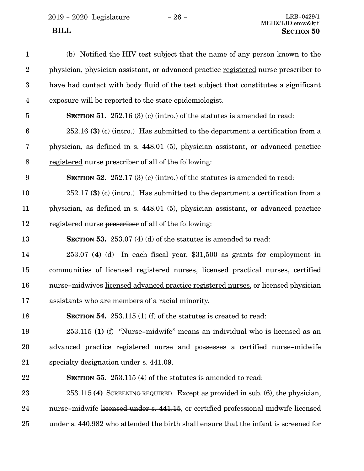2019 - 2020 Legislature - 26 - LRB-0429/1

(b) Notified the HIV test subject that the name of any person known to the physician, physician assistant, or advanced practice registered nurse prescriber to have had contact with body fluid of the test subject that constitutes a significant exposure will be reported to the state epidemiologist. **SECTION 51.** 252.16 (3) (c) (intro.) of the statutes is amended to read: 252.16 **(3)** (c) (intro.) Has submitted to the department a certification from a physician, as defined in s. 448.01 (5), physician assistant, or advanced practice registered nurse prescriber of all of the following: **SECTION** 52. 252.17 (3) (c) (intro.) of the statutes is amended to read: 252.17 **(3)** (c) (intro.) Has submitted to the department a certification from a physician, as defined in s. 448.01 (5), physician assistant, or advanced practice registered nurse prescriber of all of the following: **SECTION** 53. 253.07 (4) (d) of the statutes is amended to read: 253.07 **(4)** (d) In each fiscal year, \$31,500 as grants for employment in communities of licensed registered nurses, licensed practical nurses, certified nurse-midwives licensed advanced practice registered nurses, or licensed physician assistants who are members of a racial minority. **SECTION** 54. 253.115 (1) (f) of the statutes is created to read: 253.115 **(1)** (f) "Nurse-midwife" means an individual who is licensed as an advanced practice registered nurse and possesses a certified nurse-midwife specialty designation under s. 441.09. **SECTION** 55. 253.115 (4) of the statutes is amended to read: 253.115 **(4)** SCREENING REQUIRED. Except as provided in sub. (6), the physician, nurse-midwife licensed under s. 441.15, or certified professional midwife licensed under s. 440.982 who attended the birth shall ensure that the infant is screened for 1 2 3 4 5 6 7 8 9 10 11 12 13 14 15 16 17 18 19 20 21 22 23 24 25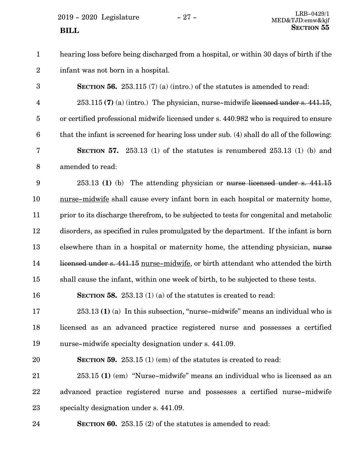$2019 - 2020$  Legislature  $-27 -$  LRB-0429/1

hearing loss before being discharged from a hospital, or within 30 days of birth if the infant was not born in a hospital. **SECTION 56.** 253.115 (7) (a) (intro.) of the statutes is amended to read: 253.115 **(7)** (a) (intro.) The physician, nurse-midwife licensed under s. 441.15, or certified professional midwife licensed under s. 440.982 who is required to ensure that the infant is screened for hearing loss under sub. (4) shall do all of the following: **SECTION** 57. 253.13 (1) of the statutes is renumbered 253.13 (1) (b) and amended to read: 253.13 **(1)** (b) The attending physician or nurse licensed under s. 441.15 nurse-midwife shall cause every infant born in each hospital or maternity home, prior to its discharge therefrom, to be subjected to tests for congenital and metabolic disorders, as specified in rules promulgated by the department. If the infant is born elsewhere than in a hospital or maternity home, the attending physician, nurse licensed under s. 441.15 nurse-midwife, or birth attendant who attended the birth shall cause the infant, within one week of birth, to be subjected to these tests. **SECTION 58.** 253.13 (1) (a) of the statutes is created to read: 253.13 **(1)** (a) In this subsection, "nurse-midwife" means an individual who is licensed as an advanced practice registered nurse and possesses a certified nurse-midwife specialty designation under s. 441.09. **SECTION 59.** 253.15 (1) (em) of the statutes is created to read: 253.15 **(1)** (em) "Nurse-midwife" means an individual who is licensed as an advanced practice registered nurse and possesses a certified nurse-midwife specialty designation under s. 441.09. **SECTION 60.** 253.15 (2) of the statutes is amended to read: 1 2 3 4 5 6 7 8 9 10 11 12 13 14 15 16 17 18 19 20 21 22 23 24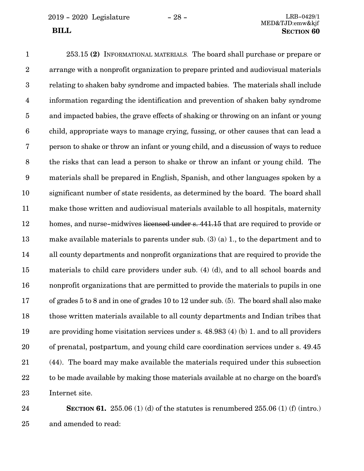253.15 **(2)** INFORMATIONAL MATERIALS. The board shall purchase or prepare or arrange with a nonprofit organization to prepare printed and audiovisual materials relating to shaken baby syndrome and impacted babies. The materials shall include information regarding the identification and prevention of shaken baby syndrome and impacted babies, the grave effects of shaking or throwing on an infant or young child, appropriate ways to manage crying, fussing, or other causes that can lead a person to shake or throw an infant or young child, and a discussion of ways to reduce the risks that can lead a person to shake or throw an infant or young child. The materials shall be prepared in English, Spanish, and other languages spoken by a significant number of state residents, as determined by the board. The board shall make those written and audiovisual materials available to all hospitals, maternity homes, and nurse-midwives licensed under s. 441.15 that are required to provide or make available materials to parents under sub. (3) (a) 1., to the department and to all county departments and nonprofit organizations that are required to provide the materials to child care providers under sub. (4) (d), and to all school boards and nonprofit organizations that are permitted to provide the materials to pupils in one of grades 5 to 8 and in one of grades 10 to 12 under sub. (5). The board shall also make those written materials available to all county departments and Indian tribes that are providing home visitation services under s. 48.983 (4) (b) 1. and to all providers of prenatal, postpartum, and young child care coordination services under s. 49.45 (44). The board may make available the materials required under this subsection to be made available by making those materials available at no charge on the board's Internet site. 1 2 3 4 5 6 7 8 9 10 11 12 13 14 15 16 17 18 19 20 21 22 23

**SECTION 61.** 255.06 (1) (d) of the statutes is renumbered 255.06 (1) (f) (intro.) and amended to read: 24 25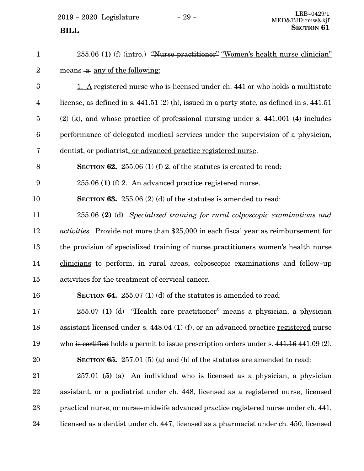$\,$  2019 - 2020  $\,$  Legislature  $\,$   $\,$   $\,$  –  $\,$  29 -  $\,$ 

| $\mathbf{1}$            | 255.06 (1) (f) (intro.) "Nurse practitioner" "Women's health nurse clinician"                          |
|-------------------------|--------------------------------------------------------------------------------------------------------|
| $\overline{2}$          | means -a any of the following:                                                                         |
| 3                       | 1. A registered nurse who is licensed under ch. 441 or who holds a multistate                          |
| $\overline{\mathbf{4}}$ | license, as defined in s. $441.51$ (2) (h), issued in a party state, as defined in s. $441.51$         |
| $\overline{5}$          | $(2)$ (k), and whose practice of professional nursing under s. 441.001 (4) includes                    |
| $6\phantom{.}6$         | performance of delegated medical services under the supervision of a physician,                        |
| 7                       | dentist, or podiatrist, or advanced practice registered nurse.                                         |
| 8                       | <b>SECTION 62.</b> 255.06 (1) (f) 2. of the statures is created to read:                               |
| $9\phantom{.0}$         | $255.06$ (1) (f) 2. An advanced practice registered nurse.                                             |
| 10                      | <b>SECTION 63.</b> 255.06 (2) (d) of the statutes is amended to read:                                  |
| 11                      | 255.06 (2) (d) Specialized training for rural colposcopic examinations and                             |
| 12                      | <i>activities.</i> Provide not more than \$25,000 in each fiscal year as reimbursement for             |
| 13                      | the provision of specialized training of nurse practitioners women's health nurse                      |
| 14                      | clinicians to perform, in rural areas, colposcopic examinations and follow-up                          |
| 15                      | activities for the treatment of cervical cancer.                                                       |
| 16                      | <b>SECTION 64.</b> 255.07 (1) (d) of the statutes is amended to read:                                  |
| 17                      | 255.07 (1) (d) "Health care practitioner" means a physician, a physician                               |
| 18                      | assistant licensed under s. $448.04$ (1) (f), or an advanced practice registered nurse                 |
| 19                      | who is certified holds a permit to issue prescription orders under s. $441.16 \underline{441.09}$ (2). |
| 20                      | <b>SECTION 65.</b> 257.01 (5) (a) and (b) of the statutes are amended to read:                         |
| 21                      | $257.01$ (5) (a) An individual who is licensed as a physician, a physician                             |
| 22                      | assistant, or a podiatrist under ch. 448, licensed as a registered nurse, licensed                     |
| 23                      | practical nurse, or nurse-midwife advanced practice registered nurse under ch. 441,                    |
| 24                      | licensed as a dentist under ch. 447, licensed as a pharmacist under ch. 450, licensed                  |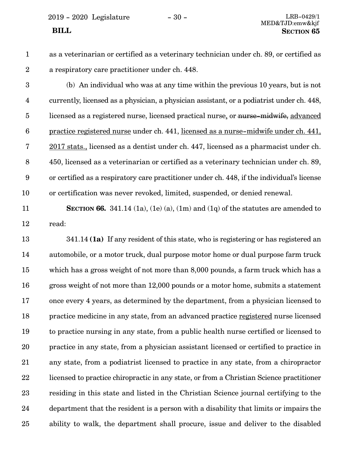2019 - 2020 Legislature - 30 - LRB-0429/1

- 
- 1

2

as a veterinarian or certified as a veterinary technician under ch. 89, or certified as a respiratory care practitioner under ch. 448.

(b) An individual who was at any time within the previous 10 years, but is not currently, licensed as a physician, a physician assistant, or a podiatrist under ch. 448, licensed as a registered nurse, licensed practical nurse, or nurse-midwife, advanced practice registered nurse under ch. 441, licensed as a nurse-midwife under ch. 441, 2017 stats., licensed as a dentist under ch. 447, licensed as a pharmacist under ch. 450, licensed as a veterinarian or certified as a veterinary technician under ch. 89, or certified as a respiratory care practitioner under ch. 448, if the individual's license or certification was never revoked, limited, suspended, or denied renewal. 3 4 5 6 7 8 9 10

**SECTION 66.** 341.14 (1a), (1e) (a), (1m) and (1q) of the statutes are amended to read: 11 12

341.14 **(1a)** If any resident of this state, who is registering or has registered an automobile, or a motor truck, dual purpose motor home or dual purpose farm truck which has a gross weight of not more than 8,000 pounds, a farm truck which has a gross weight of not more than 12,000 pounds or a motor home, submits a statement once every 4 years, as determined by the department, from a physician licensed to practice medicine in any state, from an advanced practice registered nurse licensed to practice nursing in any state, from a public health nurse certified or licensed to practice in any state, from a physician assistant licensed or certified to practice in any state, from a podiatrist licensed to practice in any state, from a chiropractor licensed to practice chiropractic in any state, or from a Christian Science practitioner residing in this state and listed in the Christian Science journal certifying to the department that the resident is a person with a disability that limits or impairs the ability to walk, the department shall procure, issue and deliver to the disabled 13 14 15 16 17 18 19 20 21 22 23 24 25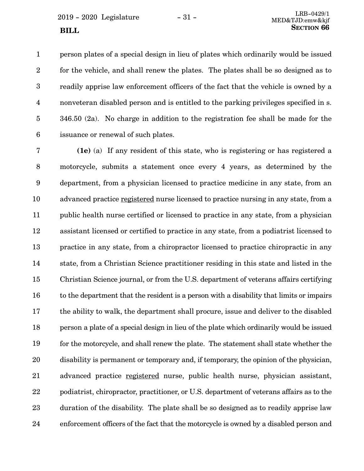person plates of a special design in lieu of plates which ordinarily would be issued for the vehicle, and shall renew the plates. The plates shall be so designed as to readily apprise law enforcement officers of the fact that the vehicle is owned by a nonveteran disabled person and is entitled to the parking privileges specified in s. 346.50 (2a). No charge in addition to the registration fee shall be made for the issuance or renewal of such plates. 1 2 3 4 5 6

**(1e)** (a) If any resident of this state, who is registering or has registered a motorcycle, submits a statement once every 4 years, as determined by the department, from a physician licensed to practice medicine in any state, from an advanced practice registered nurse licensed to practice nursing in any state, from a public health nurse certified or licensed to practice in any state, from a physician assistant licensed or certified to practice in any state, from a podiatrist licensed to practice in any state, from a chiropractor licensed to practice chiropractic in any state, from a Christian Science practitioner residing in this state and listed in the Christian Science journal, or from the U.S. department of veterans affairs certifying to the department that the resident is a person with a disability that limits or impairs the ability to walk, the department shall procure, issue and deliver to the disabled person a plate of a special design in lieu of the plate which ordinarily would be issued for the motorcycle, and shall renew the plate. The statement shall state whether the disability is permanent or temporary and, if temporary, the opinion of the physician, advanced practice registered nurse, public health nurse, physician assistant, podiatrist, chiropractor, practitioner, or U.S. department of veterans affairs as to the duration of the disability. The plate shall be so designed as to readily apprise law enforcement officers of the fact that the motorcycle is owned by a disabled person and 7 8 9 10 11 12 13 14 15 16 17 18 19 20 21 22 23 24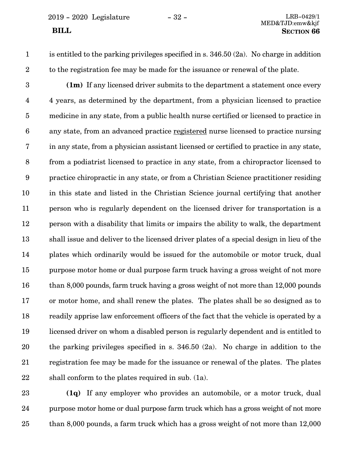1 2 is entitled to the parking privileges specified in s. 346.50 (2a). No charge in addition to the registration fee may be made for the issuance or renewal of the plate.

**(1m)** If any licensed driver submits to the department a statement once every 4 years, as determined by the department, from a physician licensed to practice medicine in any state, from a public health nurse certified or licensed to practice in any state, from an advanced practice registered nurse licensed to practice nursing in any state, from a physician assistant licensed or certified to practice in any state, from a podiatrist licensed to practice in any state, from a chiropractor licensed to practice chiropractic in any state, or from a Christian Science practitioner residing in this state and listed in the Christian Science journal certifying that another person who is regularly dependent on the licensed driver for transportation is a person with a disability that limits or impairs the ability to walk, the department shall issue and deliver to the licensed driver plates of a special design in lieu of the plates which ordinarily would be issued for the automobile or motor truck, dual purpose motor home or dual purpose farm truck having a gross weight of not more than 8,000 pounds, farm truck having a gross weight of not more than 12,000 pounds or motor home, and shall renew the plates. The plates shall be so designed as to readily apprise law enforcement officers of the fact that the vehicle is operated by a licensed driver on whom a disabled person is regularly dependent and is entitled to the parking privileges specified in s. 346.50 (2a). No charge in addition to the registration fee may be made for the issuance or renewal of the plates. The plates shall conform to the plates required in sub. (1a). 3 4 5 6 7 8 9 10 11 12 13 14 15 16 17 18 19 20 21 22

**(1q)** If any employer who provides an automobile, or a motor truck, dual purpose motor home or dual purpose farm truck which has a gross weight of not more than 8,000 pounds, a farm truck which has a gross weight of not more than 12,000 23 24 25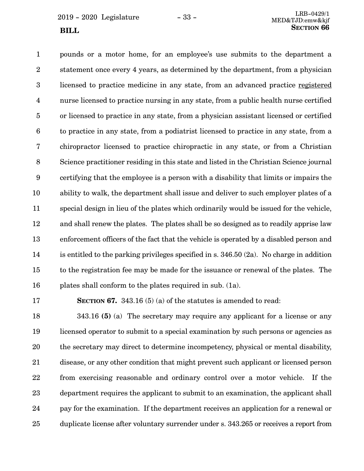pounds or a motor home, for an employee's use submits to the department a statement once every 4 years, as determined by the department, from a physician licensed to practice medicine in any state, from an advanced practice registered nurse licensed to practice nursing in any state, from a public health nurse certified or licensed to practice in any state, from a physician assistant licensed or certified to practice in any state, from a podiatrist licensed to practice in any state, from a chiropractor licensed to practice chiropractic in any state, or from a Christian Science practitioner residing in this state and listed in the Christian Science journal certifying that the employee is a person with a disability that limits or impairs the ability to walk, the department shall issue and deliver to such employer plates of a special design in lieu of the plates which ordinarily would be issued for the vehicle, and shall renew the plates. The plates shall be so designed as to readily apprise law enforcement officers of the fact that the vehicle is operated by a disabled person and is entitled to the parking privileges specified in s. 346.50 (2a). No charge in addition to the registration fee may be made for the issuance or renewal of the plates. The plates shall conform to the plates required in sub. (1a). 1 2 3 4 5 6 7 8 9 10 11 12 13 14 15 16

17

**SECTION 67.** 343.16 (5) (a) of the statutes is amended to read:

343.16 **(5)** (a) The secretary may require any applicant for a license or any licensed operator to submit to a special examination by such persons or agencies as the secretary may direct to determine incompetency, physical or mental disability, disease, or any other condition that might prevent such applicant or licensed person from exercising reasonable and ordinary control over a motor vehicle. If the department requires the applicant to submit to an examination, the applicant shall pay for the examination. If the department receives an application for a renewal or duplicate license after voluntary surrender under s. 343.265 or receives a report from 18 19 20 21 22 23 24 25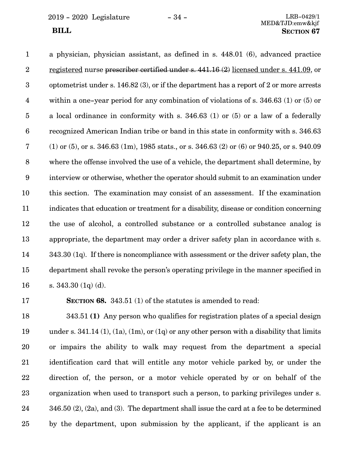2019 - 2020 Legislature - 34 - LRB-0429/1

a physician, physician assistant, as defined in s. 448.01 (6), advanced practice registered nurse prescriber certified under s. 441.16 (2) licensed under s. 441.09, or optometrist under s. 146.82 (3), or if the department has a report of 2 or more arrests within a one-year period for any combination of violations of s. 346.63 (1) or (5) or a local ordinance in conformity with s. 346.63 (1) or (5) or a law of a federally recognized American Indian tribe or band in this state in conformity with s. 346.63 (1) or (5), or s. 346.63 (1m), 1985 stats., or s. 346.63 (2) or (6) or 940.25, or s. 940.09 where the offense involved the use of a vehicle, the department shall determine, by interview or otherwise, whether the operator should submit to an examination under this section. The examination may consist of an assessment. If the examination indicates that education or treatment for a disability, disease or condition concerning the use of alcohol, a controlled substance or a controlled substance analog is appropriate, the department may order a driver safety plan in accordance with s. 343.30 (1q). If there is noncompliance with assessment or the driver safety plan, the department shall revoke the person's operating privilege in the manner specified in s. 343.30 (1q) (d). 1 2 3 4 5 6 7 8 9 10 11 12 13 14 15 16

17

**SECTION 68.** 343.51 (1) of the statutes is amended to read:

343.51 **(1)** Any person who qualifies for registration plates of a special design under s.  $341.14$  (1), (1a), (1m), or (1q) or any other person with a disability that limits or impairs the ability to walk may request from the department a special identification card that will entitle any motor vehicle parked by, or under the direction of, the person, or a motor vehicle operated by or on behalf of the organization when used to transport such a person, to parking privileges under s. 346.50 (2), (2a), and (3). The department shall issue the card at a fee to be determined by the department, upon submission by the applicant, if the applicant is an 18 19 20 21 22 23 24 25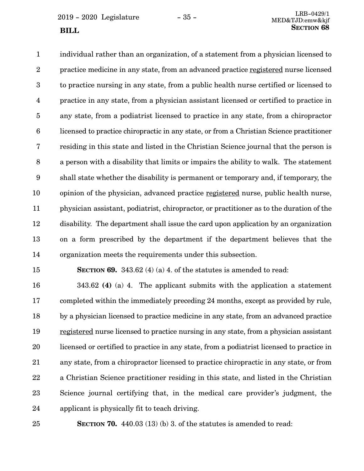individual rather than an organization, of a statement from a physician licensed to practice medicine in any state, from an advanced practice registered nurse licensed to practice nursing in any state, from a public health nurse certified or licensed to practice in any state, from a physician assistant licensed or certified to practice in any state, from a podiatrist licensed to practice in any state, from a chiropractor licensed to practice chiropractic in any state, or from a Christian Science practitioner residing in this state and listed in the Christian Science journal that the person is a person with a disability that limits or impairs the ability to walk. The statement shall state whether the disability is permanent or temporary and, if temporary, the opinion of the physician, advanced practice registered nurse, public health nurse, physician assistant, podiatrist, chiropractor, or practitioner as to the duration of the disability. The department shall issue the card upon application by an organization on a form prescribed by the department if the department believes that the organization meets the requirements under this subsection. 1 2 3 4 5 6 7 8 9 10 11 12 13 14

15

**SECTION 69.** 343.62 (4) (a) 4. of the statutes is amended to read:

343.62 **(4)** (a) 4. The applicant submits with the application a statement completed within the immediately preceding 24 months, except as provided by rule, by a physician licensed to practice medicine in any state, from an advanced practice registered nurse licensed to practice nursing in any state, from a physician assistant licensed or certified to practice in any state, from a podiatrist licensed to practice in any state, from a chiropractor licensed to practice chiropractic in any state, or from a Christian Science practitioner residing in this state, and listed in the Christian Science journal certifying that, in the medical care provider's judgment, the applicant is physically fit to teach driving. 16 17 18 19 20 21 22 23 24

25

**SECTION 70.** 440.03 (13) (b) 3. of the statutes is amended to read: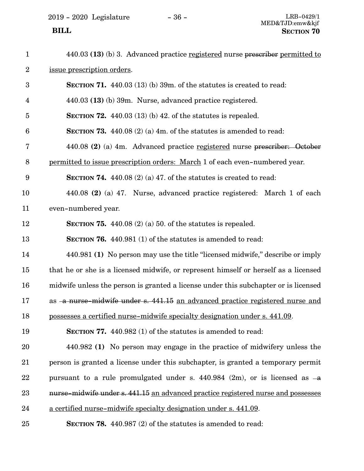| $\mathbf{1}$    | 440.03 (13) (b) 3. Advanced practice registered nurse prescriber permitted to       |
|-----------------|-------------------------------------------------------------------------------------|
| $\overline{2}$  | issue prescription orders.                                                          |
| 3               | SECTION 71. $440.03(13)(b)$ 39m, of the statutes is created to read:                |
| 4               | 440.03 (13) (b) 39m. Nurse, advanced practice registered.                           |
| $\overline{5}$  | SECTION 72. $440.03(13)(b)$ 42. of the statutes is repealed.                        |
| $6\phantom{1}6$ | SECTION 73. $440.08$ (2) (a) 4m. of the statutes is amended to read:                |
| 7               | 440.08 (2) (a) 4m. Advanced practice registered nurse prescriber: October           |
| 8               | permitted to issue prescription orders: March 1 of each even-numbered year.         |
| 9               | SECTION 74. $440.08(2)(a) 47$ . of the statutes is created to read:                 |
| 10              | 440.08 (2) (a) 47. Nurse, advanced practice registered: March 1 of each             |
| 11              | even-numbered year.                                                                 |
| 12              | <b>SECTION 75.</b> 440.08 (2) (a) 50. of the statutes is repealed.                  |
| 13              | <b>SECTION 76.</b> 440.981 (1) of the statutes is amended to read:                  |
| 14              | 440.981 (1) No person may use the title "licensed midwife," describe or imply       |
| 15              | that he or she is a licensed midwife, or represent himself or herself as a licensed |
| 16              | midwife unless the person is granted a license under this subchapter or is licensed |
| 17              | as -a nurse-midwife under s. 441.15 an advanced practice registered nurse and       |
| 18              | possesses a certified nurse-midwife specialty designation under s. 441.09.          |
| 19              | <b>SECTION 77.</b> 440.982 (1) of the statutes is amended to read:                  |
| 20              | 440.982 (1) No person may engage in the practice of midwifery unless the            |
| 21              | person is granted a license under this subchapter, is granted a temporary permit    |
| 22              | pursuant to a rule promulgated under s. $440.984$ (2m), or is licensed as $-a$      |
| 23              | nurse-midwife under s. 441.15 an advanced practice registered nurse and possesses   |
| 24              | a certified nurse-midwife specialty designation under s. 441.09.                    |
| 25              | <b>SECTION 78.</b> 440.987 (2) of the statutes is amended to read:                  |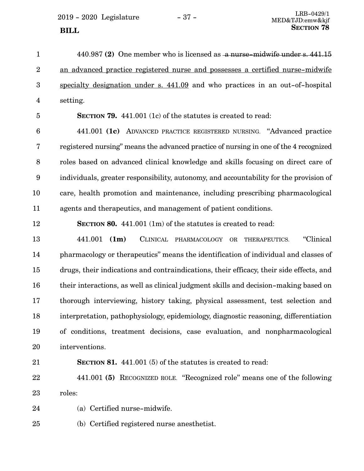$2019 - 2020$  Legislature  $-37 -$ 

440.987 **(2)** One member who is licensed as a nurse-midwife under s. 441.15 an advanced practice registered nurse and possesses a certified nurse-midwife specialty designation under s. 441.09 and who practices in an out-of-hospital setting. 1 2 3 4

5

**SECTION 79.** 441.001 (1c) of the statutes is created to read:

441.001 **(1c)** ADVANCED PRACTICE REGISTERED NURSING. "Advanced practice registered nursing" means the advanced practice of nursing in one of the 4 recognized roles based on advanced clinical knowledge and skills focusing on direct care of individuals, greater responsibility, autonomy, and accountability for the provision of care, health promotion and maintenance, including prescribing pharmacological agents and therapeutics, and management of patient conditions. 6 7 8 9 10 11

12

**SECTION 80.** 441.001 (1m) of the statutes is created to read:

441.001 **(1m)** CLINICAL PHARMACOLOGY OR THERAPEUTICS. "Clinical pharmacology or therapeutics" means the identification of individual and classes of drugs, their indications and contraindications, their efficacy, their side effects, and their interactions, as well as clinical judgment skills and decision-making based on thorough interviewing, history taking, physical assessment, test selection and interpretation, pathophysiology, epidemiology, diagnostic reasoning, differentiation of conditions, treatment decisions, case evaluation, and nonpharmacological interventions. 13 14 15 16 17 18 19 20

21

**SECTION 81.** 441.001 (5) of the statutes is created to read:

441.001 **(5)** RECOGNIZED ROLE. "Recognized role" means one of the following roles: 22 23

(a) Certified nurse-midwife. 24

(b) Certified registered nurse anesthetist. 25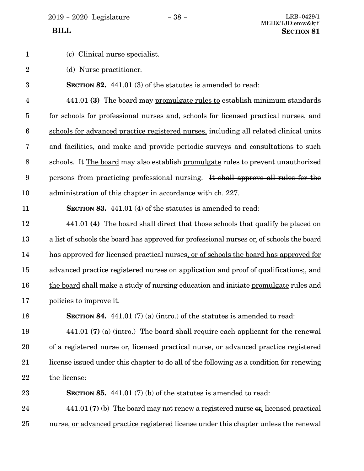2019 - 2020 Legislature - 38 - LRB-0429/1

1

- (c) Clinical nurse specialist.
- (d) Nurse practitioner. 2
- **SECTION 82.** 441.01 (3) of the statutes is amended to read: 3

441.01 **(3)** The board may promulgate rules to establish minimum standards for schools for professional nurses and, schools for licensed practical nurses, and schools for advanced practice registered nurses, including all related clinical units and facilities, and make and provide periodic surveys and consultations to such schools. It The board may also establish promulgate rules to prevent unauthorized persons from practicing professional nursing. It shall approve all rules for the administration of this chapter in accordance with ch. 227. 4 5 6 7 8 9 10

11

**SECTION 83.** 441.01 (4) of the statutes is amended to read:

441.01 **(4)** The board shall direct that those schools that qualify be placed on a list of schools the board has approved for professional nurses or, of schools the board has approved for licensed practical nurses, or of schools the board has approved for advanced practice registered nurses on application and proof of qualifications;, and the board shall make a study of nursing education and initiate promulgate rules and policies to improve it. 12 13 14 15 16 17

18

**SECTION 84.** 441.01 (7) (a) (intro.) of the statutes is amended to read:

441.01 **(7)** (a) (intro.) The board shall require each applicant for the renewal of a registered nurse or, licensed practical nurse, or advanced practice registered license issued under this chapter to do all of the following as a condition for renewing the license: 19 20 21 22

**SECTION 85.** 441.01 (7) (b) of the statutes is amended to read: 23

441.01 **(7)** (b) The board may not renew a registered nurse or, licensed practical nurse, or advanced practice registered license under this chapter unless the renewal 24 25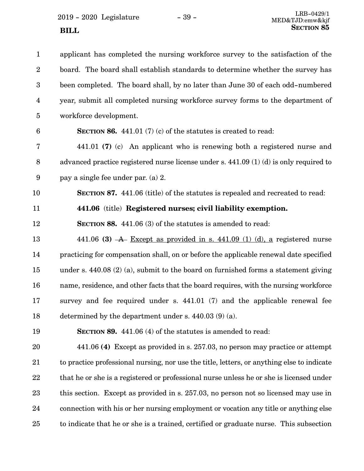2019 - 2020 Legislature - 39 - LRB-0429/1

| $\mathbf{1}$    | applicant has completed the nursing workforce survey to the satisfaction of the            |
|-----------------|--------------------------------------------------------------------------------------------|
| $\overline{2}$  | board. The board shall establish standards to determine whether the survey has             |
| 3               | been completed. The board shall, by no later than June 30 of each odd-numbered             |
| 4               | year, submit all completed nursing workforce survey forms to the department of             |
| 5               | workforce development.                                                                     |
| $6\phantom{1}6$ | <b>SECTION 86.</b> 441.01 (7) (c) of the statutes is created to read:                      |
| 7               | 441.01 (7) (c) An applicant who is renewing both a registered nurse and                    |
| 8               | advanced practice registered nurse license under s. $441.09$ (1) (d) is only required to   |
| 9               | pay a single fee under par. (a) 2.                                                         |
| 10              | <b>SECTION 87.</b> 441.06 (title) of the statutes is repealed and recreated to read:       |
| 11              | 441.06 (title) Registered nurses; civil liability exemption.                               |
| 12              | <b>SECTION 88.</b> 441.06 (3) of the statutes is amended to read:                          |
| 13              | 441.06 (3) $\overline{A}$ Except as provided in s. 441.09 (1) (d), a registered nurse      |
| 14              | practicing for compensation shall, on or before the applicable renewal date specified      |
| 15              | under s. 440.08 $(2)$ (a), submit to the board on furnished forms a statement giving       |
| 16              | name, residence, and other facts that the board requires, with the nursing workforce       |
| 17              | survey and fee required under s. 441.01 (7) and the applicable renewal fee                 |
| 18              | determined by the department under s. 440.03 (9) (a).                                      |
| 19              | SECTION 89. 441.06 (4) of the statutes is amended to read:                                 |
| 20              | 441.06 (4) Except as provided in s. 257.03, no person may practice or attempt              |
| 21              | to practice professional nursing, nor use the title, letters, or anything else to indicate |
| 22              | that he or she is a registered or professional nurse unless he or she is licensed under    |
| 23              | this section. Except as provided in s. 257.03, no person not so licensed may use in        |
| 24              | connection with his or her nursing employment or vocation any title or anything else       |
| 25              | to indicate that he or she is a trained, certified or graduate nurse. This subsection      |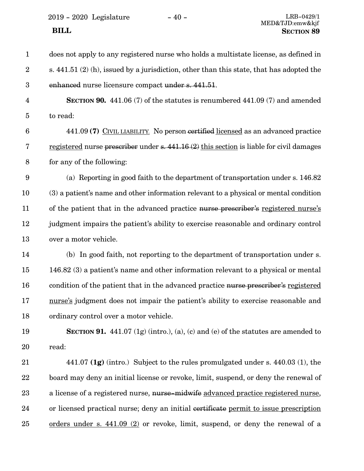2019 - 2020 Legislature $\hspace{1cm}$  - 40 -

| $\mathbf{1}$            | does not apply to any registered nurse who holds a multistate license, as defined in     |
|-------------------------|------------------------------------------------------------------------------------------|
| $\boldsymbol{2}$        | s. 441.51 (2) (h), issued by a jurisdiction, other than this state, that has adopted the |
| $\boldsymbol{3}$        | enhanced nurse licensure compact under s. 441.51.                                        |
| $\overline{\mathbf{4}}$ | <b>SECTION 90.</b> 441.06 (7) of the statutes is renumbered 441.09 (7) and amended       |
| $\overline{5}$          | to read:                                                                                 |
| $6\phantom{.}6$         | 441.09 (7) CIVIL LIABILITY. No person certified licensed as an advanced practice         |
| $\bf 7$                 | registered nurse prescriber under s. 441.16 (2) this section is liable for civil damages |
| $8\,$                   | for any of the following:                                                                |
| $9\phantom{.0}$         | (a) Reporting in good faith to the department of transportation under s. 146.82          |
| 10                      | (3) a patient's name and other information relevant to a physical or mental condition    |
| 11                      | of the patient that in the advanced practice nurse prescriber's registered nurse's       |
| 12                      | judgment impairs the patient's ability to exercise reasonable and ordinary control       |
| 13                      | over a motor vehicle.                                                                    |
| 14                      | (b) In good faith, not reporting to the department of transportation under s.            |
| 15                      | 146.82 (3) a patient's name and other information relevant to a physical or mental       |
| 16                      | condition of the patient that in the advanced practice nurse prescriber's registered     |
| 17                      | nurse's judgment does not impair the patient's ability to exercise reasonable and        |
| 18                      | ordinary control over a motor vehicle.                                                   |
| 19                      | <b>SECTION 91.</b> 441.07 (1g) (intro.), (a), (c) and (e) of the statutes are amended to |
| 20                      | read:                                                                                    |
| 21                      | 441.07 $(1g)$ (intro.) Subject to the rules promulgated under s. 440.03 (1), the         |
| 22                      | board may deny an initial license or revoke, limit, suspend, or deny the renewal of      |
| 23                      | a license of a registered nurse, nurse-midwife advanced practice registered nurse,       |
| 24                      | or licensed practical nurse; deny an initial certificate permit to issue prescription    |
| 25                      | orders under s. $441.09$ (2) or revoke, limit, suspend, or deny the renewal of a         |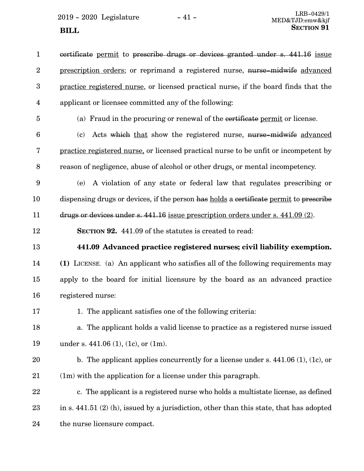$2019 - 2020$  Legislature  $-41 -$ **SECTION** 91

certificate permit to prescribe drugs or devices granted under s. 441.16 issue prescription orders; or reprimand a registered nurse, nurse-midwife advanced practice registered nurse, or licensed practical nurse, if the board finds that the applicant or licensee committed any of the following: 1 2 3 4

5

(a) Fraud in the procuring or renewal of the certificate permit or license.

(c) Acts which that show the registered nurse, nurse-midwife advanced practice registered nurse, or licensed practical nurse to be unfit or incompetent by reason of negligence, abuse of alcohol or other drugs, or mental incompetency. 6 7 8

(e) A violation of any state or federal law that regulates prescribing or dispensing drugs or devices, if the person has holds a certificate permit to prescribe drugs or devices under s. 441.16 issue prescription orders under s. 441.09 (2). 9 10 11

**SECTION 92.** 441.09 of the statutes is created to read: 12

13

### **441.09 Advanced practice registered nurses; civil liability exemption.**

**(1)** LICENSE. (a) An applicant who satisfies all of the following requirements may apply to the board for initial licensure by the board as an advanced practice registered nurse: 14 15 16

1. The applicant satisfies one of the following criteria: 17

a. The applicant holds a valid license to practice as a registered nurse issued under s. 441.06 (1), (1c), or (1m). 18 19

- b. The applicant applies concurrently for a license under s. 441.06 (1), (1c), or (1m) with the application for a license under this paragraph. 20 21
- c. The applicant is a registered nurse who holds a multistate license, as defined in s. 441.51 (2) (h), issued by a jurisdiction, other than this state, that has adopted the nurse licensure compact. 22 23 24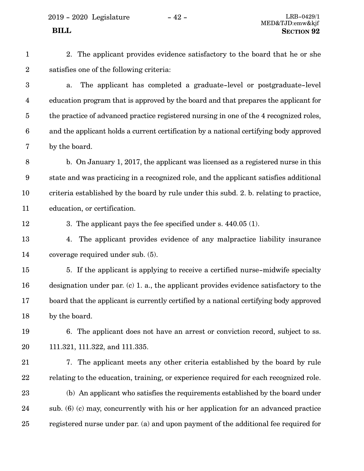2019 - 2020 Legislature - 42 - LRB-0429/1

1

2

2. The applicant provides evidence satisfactory to the board that he or she satisfies one of the following criteria:

a. The applicant has completed a graduate-level or postgraduate-level education program that is approved by the board and that prepares the applicant for the practice of advanced practice registered nursing in one of the 4 recognized roles, and the applicant holds a current certification by a national certifying body approved by the board. 3 4 5 6 7

b. On January 1, 2017, the applicant was licensed as a registered nurse in this state and was practicing in a recognized role, and the applicant satisfies additional criteria established by the board by rule under this subd. 2. b. relating to practice, education, or certification. 8 9 10 11

12

3. The applicant pays the fee specified under s. 440.05 (1).

4. The applicant provides evidence of any malpractice liability insurance coverage required under sub. (5). 13 14

5. If the applicant is applying to receive a certified nurse-midwife specialty designation under par. (c) 1. a., the applicant provides evidence satisfactory to the board that the applicant is currently certified by a national certifying body approved by the board. 15 16 17 18

6. The applicant does not have an arrest or conviction record, subject to ss. 111.321, 111.322, and 111.335. 19 20

7. The applicant meets any other criteria established by the board by rule relating to the education, training, or experience required for each recognized role. (b) An applicant who satisfies the requirements established by the board under sub. (6) (c) may, concurrently with his or her application for an advanced practice registered nurse under par. (a) and upon payment of the additional fee required for 21 22 23 24 25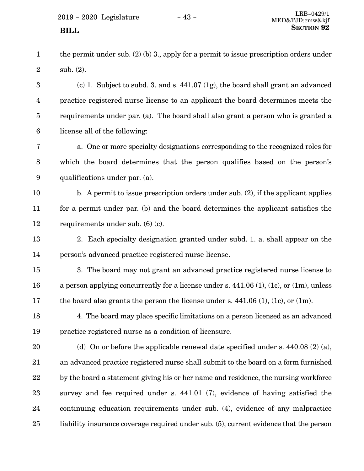|         | the permit under sub. $(2)$ (b) 3., apply for a permit to issue prescription orders under |
|---------|-------------------------------------------------------------------------------------------|
| $2^{-}$ | sub. $(2)$ .                                                                              |

(c) 1. Subject to subd. 3. and s. 441.07 (1g), the board shall grant an advanced practice registered nurse license to an applicant the board determines meets the requirements under par. (a). The board shall also grant a person who is granted a license all of the following: 3 4 5 6

a. One or more specialty designations corresponding to the recognized roles for which the board determines that the person qualifies based on the person's qualifications under par. (a). 7 8 9

- b. A permit to issue prescription orders under sub. (2), if the applicant applies for a permit under par. (b) and the board determines the applicant satisfies the requirements under sub. (6) (c). 10 11 12
- 2. Each specialty designation granted under subd. 1. a. shall appear on the person's advanced practice registered nurse license. 13 14
- 3. The board may not grant an advanced practice registered nurse license to a person applying concurrently for a license under s. 441.06 (1), (1c), or (1m), unless the board also grants the person the license under s. 441.06 (1), (1c), or (1m). 15 16 17
- 4. The board may place specific limitations on a person licensed as an advanced practice registered nurse as a condition of licensure. 18 19
- (d) On or before the applicable renewal date specified under s. 440.08 (2) (a), an advanced practice registered nurse shall submit to the board on a form furnished by the board a statement giving his or her name and residence, the nursing workforce survey and fee required under s. 441.01 (7), evidence of having satisfied the continuing education requirements under sub. (4), evidence of any malpractice liability insurance coverage required under sub. (5), current evidence that the person 20 21 22 23 24 25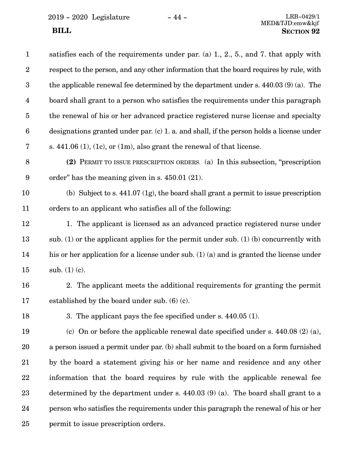$2019$  -  $2020\,$  Legislature  $\hskip 5mm -44$  -

| $\mathbf{1}$     | satisfies each of the requirements under par. (a) $1, 2, 5$ , and 7. that apply with       |
|------------------|--------------------------------------------------------------------------------------------|
| $\overline{2}$   | respect to the person, and any other information that the board requires by rule, with     |
| 3                | the applicable renewal fee determined by the department under s. 440.03 (9) (a). The       |
| $\overline{4}$   | board shall grant to a person who satisfies the requirements under this paragraph          |
| $\bf 5$          | the renewal of his or her advanced practice registered nurse license and specialty         |
| $\boldsymbol{6}$ | designations granted under par. (c) 1. a. and shall, if the person holds a license under   |
| 7                | s. $441.06$ (1), (1c), or (1m), also grant the renewal of that license.                    |
| 8                | (2) PERMIT TO ISSUE PRESCRIPTION ORDERS. (a) In this subsection, "prescription"            |
| 9                | order" has the meaning given in $s$ . 450.01 (21).                                         |
| 10               | (b) Subject to s. $441.07$ (1g), the board shall grant a permit to issue prescription      |
| 11               | orders to an applicant who satisfies all of the following:                                 |
| 12               | 1. The applicant is licensed as an advanced practice registered nurse under                |
| 13               | sub. (1) or the applicant applies for the permit under sub. (1) (b) concurrently with      |
| 14               | his or her application for a license under sub. $(1)$ (a) and is granted the license under |
| 15               | sub. $(1)$ (c).                                                                            |
| 16               | 2. The applicant meets the additional requirements for granting the permit                 |
| 17               | established by the board under sub. (6) (c).                                               |
| 18               | 3. The applicant pays the fee specified under s. 440.05 (1).                               |
| 19               | (c) On or before the applicable renewal date specified under s. $440.08$ (2) (a),          |
| 20               | a person issued a permit under par. (b) shall submit to the board on a form furnished      |
| 21               | by the board a statement giving his or her name and residence and any other                |
| 22               | information that the board requires by rule with the applicable renewal fee                |
| 23               | determined by the department under s. $440.03(9)(a)$ . The board shall grant to a          |
| 24               | person who satisfies the requirements under this paragraph the renewal of his or her       |
| 25               | permit to issue prescription orders.                                                       |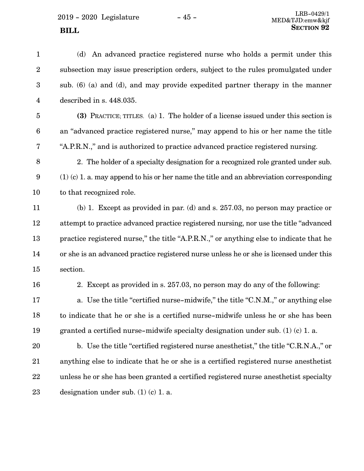(d) An advanced practice registered nurse who holds a permit under this subsection may issue prescription orders, subject to the rules promulgated under sub. (6) (a) and (d), and may provide expedited partner therapy in the manner described in s. 448.035. **(3)** PRACTICE; TITLES. (a) 1. The holder of a license issued under this section is an "advanced practice registered nurse," may append to his or her name the title "A.P.R.N.," and is authorized to practice advanced practice registered nursing. 2. The holder of a specialty designation for a recognized role granted under sub. (1) (c) 1. a. may append to his or her name the title and an abbreviation corresponding to that recognized role. (b) 1. Except as provided in par. (d) and s. 257.03, no person may practice or attempt to practice advanced practice registered nursing, nor use the title "advanced practice registered nurse," the title "A.P.R.N.," or anything else to indicate that he or she is an advanced practice registered nurse unless he or she is licensed under this section. 2. Except as provided in s. 257.03, no person may do any of the following: a. Use the title "certified nurse-midwife," the title "C.N.M.," or anything else to indicate that he or she is a certified nurse-midwife unless he or she has been granted a certified nurse-midwife specialty designation under sub. (1) (c) 1. a. b. Use the title "certified registered nurse anesthetist," the title "C.R.N.A.," or anything else to indicate that he or she is a certified registered nurse anesthetist unless he or she has been granted a certified registered nurse anesthetist specialty designation under sub.  $(1)$   $(c)$  1. a. 1 2 3 4 5 6 7 8 9 10 11 12 13 14 15 16 17 18 19 20 21 22 23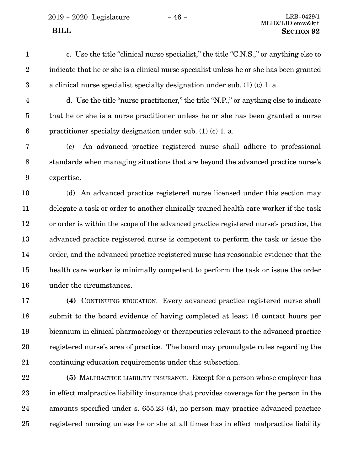2019 - 2020 Legislature - 46 - LRB-0429/1

- c. Use the title "clinical nurse specialist," the title "C.N.S.," or anything else to indicate that he or she is a clinical nurse specialist unless he or she has been granted a clinical nurse specialist specialty designation under sub. (1) (c) 1. a. 1 2 3
- 

d. Use the title "nurse practitioner," the title "N.P.," or anything else to indicate that he or she is a nurse practitioner unless he or she has been granted a nurse practitioner specialty designation under sub. (1) (c) 1. a. 4 5 6

(c) An advanced practice registered nurse shall adhere to professional standards when managing situations that are beyond the advanced practice nurse's expertise. 7 8 9

(d) An advanced practice registered nurse licensed under this section may delegate a task or order to another clinically trained health care worker if the task or order is within the scope of the advanced practice registered nurse's practice, the advanced practice registered nurse is competent to perform the task or issue the order, and the advanced practice registered nurse has reasonable evidence that the health care worker is minimally competent to perform the task or issue the order under the circumstances. 10 11 12 13 14 15 16

**(4)** CONTINUING EDUCATION. Every advanced practice registered nurse shall submit to the board evidence of having completed at least 16 contact hours per biennium in clinical pharmacology or therapeutics relevant to the advanced practice registered nurse's area of practice. The board may promulgate rules regarding the continuing education requirements under this subsection. 17 18 19 20 21

**(5)** MALPRACTICE LIABILITY INSURANCE. Except for a person whose employer has in effect malpractice liability insurance that provides coverage for the person in the amounts specified under s. 655.23 (4), no person may practice advanced practice registered nursing unless he or she at all times has in effect malpractice liability 22 23 24 25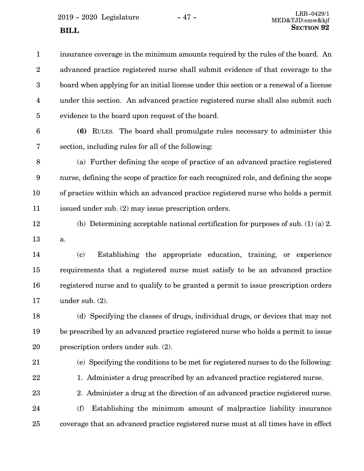$2019 - 2020$  Legislature  $-47 -$ 

insurance coverage in the minimum amounts required by the rules of the board. An advanced practice registered nurse shall submit evidence of that coverage to the board when applying for an initial license under this section or a renewal of a license under this section. An advanced practice registered nurse shall also submit such evidence to the board upon request of the board. 1 2 3 4 5

6

**(6)** RULES. The board shall promulgate rules necessary to administer this section, including rules for all of the following: 7

(a) Further defining the scope of practice of an advanced practice registered nurse, defining the scope of practice for each recognized role, and defining the scope of practice within which an advanced practice registered nurse who holds a permit issued under sub. (2) may issue prescription orders. 8 9 10 11

(b) Determining acceptable national certification for purposes of sub. (1) (a) 2. a. 12 13

(c) Establishing the appropriate education, training, or experience requirements that a registered nurse must satisfy to be an advanced practice registered nurse and to qualify to be granted a permit to issue prescription orders under sub. (2). 14 15 16 17

(d) Specifying the classes of drugs, individual drugs, or devices that may not be prescribed by an advanced practice registered nurse who holds a permit to issue prescription orders under sub. (2). 18 19 20

21

22

23

- 1. Administer a drug prescribed by an advanced practice registered nurse.
	- 2. Administer a drug at the direction of an advanced practice registered nurse.

(e) Specifying the conditions to be met for registered nurses to do the following:

(f) Establishing the minimum amount of malpractice liability insurance coverage that an advanced practice registered nurse must at all times have in effect 24 25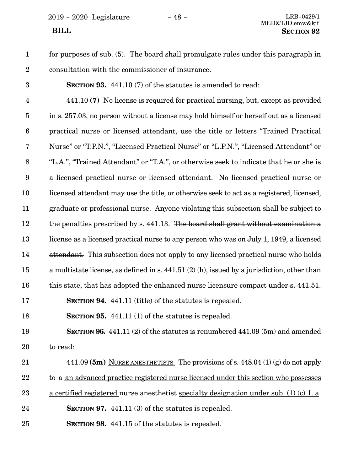2019 - 2020 Legislature - 48 - LRB-0429/1

## MED&TJD:emw&kjf  **BILL SECTION 92**

- for purposes of sub. (5). The board shall promulgate rules under this paragraph in consultation with the commissioner of insurance. 1 2
- 3

**SECTION 93.** 441.10 (7) of the statutes is amended to read:

441.10 **(7)** No license is required for practical nursing, but, except as provided in s. 257.03, no person without a license may hold himself or herself out as a licensed practical nurse or licensed attendant, use the title or letters "Trained Practical Nurse" or "T.P.N.", "Licensed Practical Nurse" or "L.P.N.", "Licensed Attendant" or "L.A.", "Trained Attendant" or "T.A.", or otherwise seek to indicate that he or she is a licensed practical nurse or licensed attendant. No licensed practical nurse or licensed attendant may use the title, or otherwise seek to act as a registered, licensed, graduate or professional nurse. Anyone violating this subsection shall be subject to the penalties prescribed by s. 441.13. The board shall grant without examination a license as a licensed practical nurse to any person who was on July 1, 1949, a licensed attendant. This subsection does not apply to any licensed practical nurse who holds a multistate license, as defined in s. 441.51 (2) (h), issued by a jurisdiction, other than this state, that has adopted the enhanced nurse licensure compact under s. 441.51. **SECTION 94.** 441.11 (title) of the statutes is repealed. 4 5 6 7 8 9 10 11 12 13 14 15 16 17

**SECTION 95.** 441.11 (1) of the statutes is repealed. 18

**SECTION 96.** 441.11 (2) of the statutes is renumbered 441.09 (5m) and amended to read: 19 20

- 441.09 **(5m)** NURSE ANESTHETISTS. The provisions of s. 448.04 (1) (g) do not apply to a an advanced practice registered nurse licensed under this section who possesses a certified registered nurse anesthetist specialty designation under sub. (1) (c) 1. a. 21 22 23
- **SECTION 97.** 441.11 (3) of the statutes is repealed. 24
- **SECTION 98.** 441.15 of the statutes is repealed. 25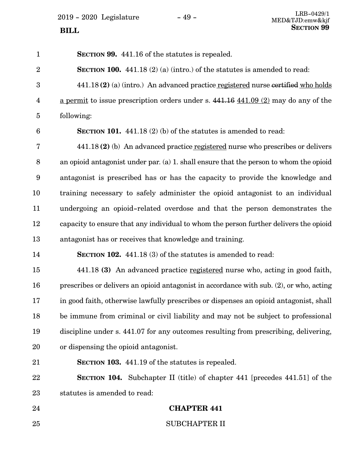**SECTION 99.** 441.16 of the statutes is repealed. **SECTION 100.** 441.18 (2) (a) (intro.) of the statutes is amended to read: 441.18 **(2)** (a) (intro.) An advanced practice registered nurse certified who holds a permit to issue prescription orders under s. 441.16 441.09 (2) may do any of the following: **SECTION 101.** 441.18 (2) (b) of the statutes is amended to read: 441.18 **(2)** (b) An advanced practice registered nurse who prescribes or delivers an opioid antagonist under par. (a) 1. shall ensure that the person to whom the opioid antagonist is prescribed has or has the capacity to provide the knowledge and training necessary to safely administer the opioid antagonist to an individual undergoing an opioid-related overdose and that the person demonstrates the capacity to ensure that any individual to whom the person further delivers the opioid antagonist has or receives that knowledge and training. **SECTION 102.** 441.18 (3) of the statutes is amended to read: 441.18 **(3)** An advanced practice registered nurse who, acting in good faith, prescribes or delivers an opioid antagonist in accordance with sub. (2), or who, acting in good faith, otherwise lawfully prescribes or dispenses an opioid antagonist, shall be immune from criminal or civil liability and may not be subject to professional discipline under s. 441.07 for any outcomes resulting from prescribing, delivering, or dispensing the opioid antagonist. **SECTION 103.** 441.19 of the statutes is repealed. **SECTION 104.** Subchapter II (title) of chapter 441 [precedes 441.51] of the statutes is amended to read: **CHAPTER 441** SUBCHAPTER II 1 2 3 4 5 6 7 8 9 10 11 12 13 14 15 16 17 18 19 20 21 22 23 24 25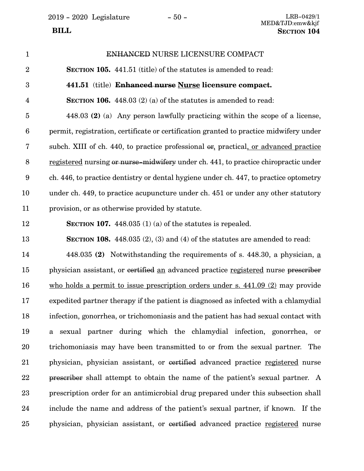2019 - 2020 Legislature - 50 - LRB-0429/1

ENHANCED NURSE LICENSURE COMPACT **SECTION 105.** 441.51 (title) of the statutes is amended to read: **441.51** (title) **Enhanced nurse Nurse licensure compact. SECTION 106.** 448.03 (2) (a) of the statutes is amended to read: 448.03 **(2)** (a) Any person lawfully practicing within the scope of a license, permit, registration, certificate or certification granted to practice midwifery under subch. XIII of ch. 440, to practice professional  $\sigma$ , practical, or advanced practice registered nursing or nurse-midwifery under ch. 441, to practice chiropractic under ch. 446, to practice dentistry or dental hygiene under ch. 447, to practice optometry under ch. 449, to practice acupuncture under ch. 451 or under any other statutory provision, or as otherwise provided by statute. **SECTION 107.** 448.035 (1) (a) of the statutes is repealed. **SECTION 108.** 448.035 (2), (3) and (4) of the statutes are amended to read: 448.035 **(2)** Notwithstanding the requirements of s. 448.30, a physician, a physician assistant, or certified an advanced practice registered nurse prescriber who holds a permit to issue prescription orders under s. 441.09 (2) may provide expedited partner therapy if the patient is diagnosed as infected with a chlamydial infection, gonorrhea, or trichomoniasis and the patient has had sexual contact with a sexual partner during which the chlamydial infection, gonorrhea, or trichomoniasis may have been transmitted to or from the sexual partner. The physician, physician assistant, or certified advanced practice registered nurse prescriber shall attempt to obtain the name of the patient's sexual partner. A prescription order for an antimicrobial drug prepared under this subsection shall include the name and address of the patient's sexual partner, if known. If the physician, physician assistant, or certified advanced practice registered nurse 1 2 3 4 5 6 7 8 9 10 11 12 13 14 15 16 17 18 19 20 21 22 23 24 25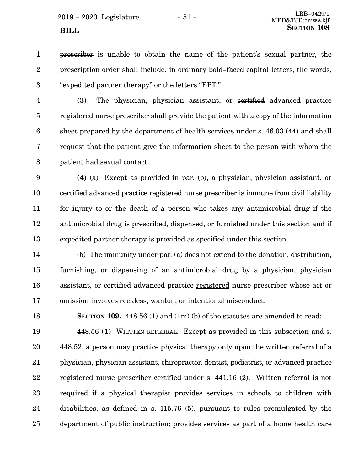$2019 - 2020$  Legislature  $-51 -$ 

prescriber is unable to obtain the name of the patient's sexual partner, the prescription order shall include, in ordinary bold-faced capital letters, the words, "expedited partner therapy" or the letters "EPT." 1 2 3

**(3)** The physician, physician assistant, or certified advanced practice registered nurse prescriber shall provide the patient with a copy of the information sheet prepared by the department of health services under s. 46.03 (44) and shall request that the patient give the information sheet to the person with whom the patient had sexual contact. 4 5 6 7 8

**(4)** (a) Except as provided in par. (b), a physician, physician assistant, or certified advanced practice registered nurse prescriber is immune from civil liability for injury to or the death of a person who takes any antimicrobial drug if the antimicrobial drug is prescribed, dispensed, or furnished under this section and if expedited partner therapy is provided as specified under this section. 9 10 11 12 13

(b) The immunity under par. (a) does not extend to the donation, distribution, furnishing, or dispensing of an antimicrobial drug by a physician, physician assistant, or certified advanced practice registered nurse prescriber whose act or omission involves reckless, wanton, or intentional misconduct. 14 15 16 17

18

**SECTION 109.** 448.56 (1) and (1m) (b) of the statutes are amended to read:

448.56 **(1)** WRITTEN REFERRAL. Except as provided in this subsection and s. 448.52, a person may practice physical therapy only upon the written referral of a physician, physician assistant, chiropractor, dentist, podiatrist, or advanced practice registered nurse prescriber certified under s. 441.16 (2). Written referral is not required if a physical therapist provides services in schools to children with disabilities, as defined in s. 115.76 (5), pursuant to rules promulgated by the department of public instruction; provides services as part of a home health care 19 20 21 22 23 24 25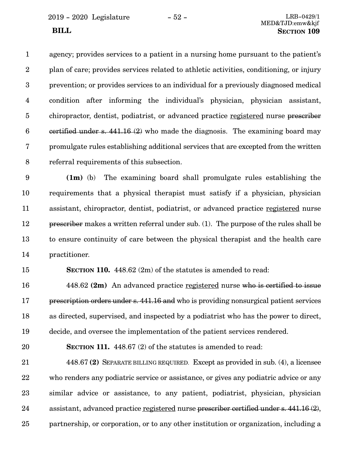2019 - 2020 Legislature - 52 - LRB-0429/1

agency; provides services to a patient in a nursing home pursuant to the patient's plan of care; provides services related to athletic activities, conditioning, or injury prevention; or provides services to an individual for a previously diagnosed medical condition after informing the individual's physician, physician assistant, chiropractor, dentist, podiatrist, or advanced practice registered nurse prescriber certified under s.  $441.16(2)$  who made the diagnosis. The examining board may promulgate rules establishing additional services that are excepted from the written referral requirements of this subsection. 1 2 3 4 5 6 7 8

**(1m)** (b) The examining board shall promulgate rules establishing the requirements that a physical therapist must satisfy if a physician, physician assistant, chiropractor, dentist, podiatrist, or advanced practice registered nurse prescriber makes a written referral under sub. (1). The purpose of the rules shall be to ensure continuity of care between the physical therapist and the health care practitioner. 9 10 11 12 13 14

15

**SECTION 110.** 448.62 (2m) of the statutes is amended to read:

448.62 **(2m)** An advanced practice registered nurse who is certified to issue prescription orders under s. 441.16 and who is providing nonsurgical patient services as directed, supervised, and inspected by a podiatrist who has the power to direct, decide, and oversee the implementation of the patient services rendered. 16 17 18 19

20

**SECTION 111.** 448.67 (2) of the statutes is amended to read:

448.67 **(2)** SEPARATE BILLING REQUIRED. Except as provided in sub. (4), a licensee who renders any podiatric service or assistance, or gives any podiatric advice or any similar advice or assistance, to any patient, podiatrist, physician, physician assistant, advanced practice registered nurse prescriber certified under s. 441.16 (2), partnership, or corporation, or to any other institution or organization, including a 21 22 23 24 25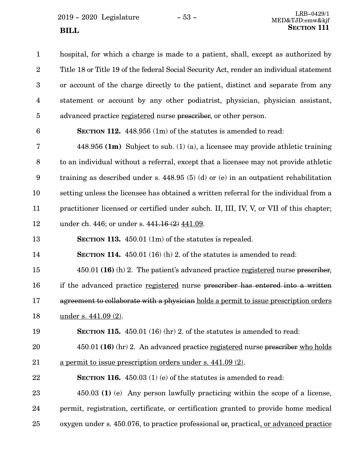$2019 - 2020$  Legislature  $-53 -$ **SECTION** 111

hospital, for which a charge is made to a patient, shall, except as authorized by Title 18 or Title 19 of the federal Social Security Act, render an individual statement or account of the charge directly to the patient, distinct and separate from any statement or account by any other podiatrist, physician, physician assistant, advanced practice registered nurse prescriber, or other person. 1 2 3 4 5

6

**SECTION 112.** 448.956 (1m) of the statutes is amended to read:

448.956 **(1m)** Subject to sub. (1) (a), a licensee may provide athletic training to an individual without a referral, except that a licensee may not provide athletic training as described under s.  $448.95(5)(d)$  or (e) in an outpatient rehabilitation setting unless the licensee has obtained a written referral for the individual from a practitioner licensed or certified under subch. II, III, IV, V, or VII of this chapter; under ch. 446; or under s. 441.16 (2) 441.09. 7 8 9 10 11 12

**SECTION 113.** 450.01 (1m) of the statutes is repealed. 13

**SECTION 114.** 450.01 (16) (h) 2. of the statutes is amended to read: 14

450.01 **(16)** (h) 2. The patient's advanced practice registered nurse prescriber, 15

if the advanced practice registered nurse prescriber has entered into a written 16

agreement to collaborate with a physician holds a permit to issue prescription orders 17

under s. 441.09 (2). 18

**SECTION 115.** 450.01 (16) (hr) 2. of the statutes is amended to read: 19

450.01 **(16)** (hr) 2. An advanced practice registered nurse prescriber who holds a permit to issue prescription orders under s. 441.09 (2). 20 21

**SECTION 116.** 450.03 (1) (e) of the statutes is amended to read: 22

450.03 **(1)** (e) Any person lawfully practicing within the scope of a license, permit, registration, certificate, or certification granted to provide home medical oxygen under s. 450.076, to practice professional or, practical, or advanced practice 23 24 25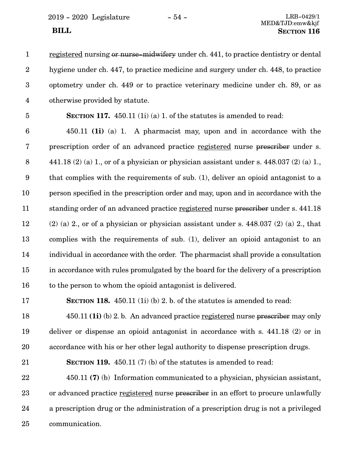2019 - 2020 Legislature - 54 - LRB-0429/1

registered nursing or nurse-midwifery under ch. 441, to practice dentistry or dental hygiene under ch. 447, to practice medicine and surgery under ch. 448, to practice optometry under ch. 449 or to practice veterinary medicine under ch. 89, or as otherwise provided by statute. 1 2 3 4

5

**SECTION 117.** 450.11 (1i) (a) 1. of the statutes is amended to read:

450.11 **(1i)** (a) 1. A pharmacist may, upon and in accordance with the prescription order of an advanced practice registered nurse prescriber under s. 441.18 (2) (a) 1, or of a physician or physician assistant under s. 448.037 (2) (a) 1, that complies with the requirements of sub. (1), deliver an opioid antagonist to a person specified in the prescription order and may, upon and in accordance with the standing order of an advanced practice registered nurse prescriber under s. 441.18  $(2)$  (a) 2, or of a physician or physician assistant under s. 448.037 (2) (a) 2, that complies with the requirements of sub. (1), deliver an opioid antagonist to an individual in accordance with the order. The pharmacist shall provide a consultation in accordance with rules promulgated by the board for the delivery of a prescription to the person to whom the opioid antagonist is delivered. 6 7 8 9 10 11 12 13 14 15 16

17

**SECTION 118.** 450.11 (1i) (b) 2. b. of the statutes is amended to read:

450.11 **(1i)** (b) 2. b. An advanced practice registered nurse prescriber may only deliver or dispense an opioid antagonist in accordance with s. 441.18 (2) or in accordance with his or her other legal authority to dispense prescription drugs. 18 19 20

**SECTION 119.** 450.11 (7) (b) of the statutes is amended to read: 21

450.11 **(7)** (b) Information communicated to a physician, physician assistant, or advanced practice registered nurse prescriber in an effort to procure unlawfully a prescription drug or the administration of a prescription drug is not a privileged communication. 22 23 24 25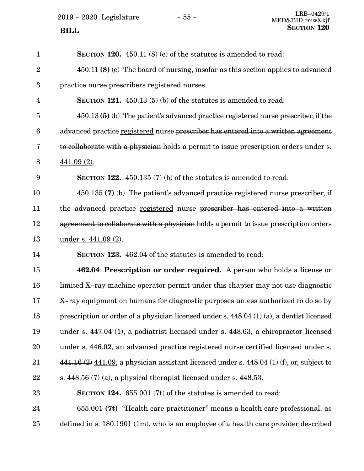**SECTION 120.** 450.11 (8) (e) of the statutes is amended to read: 450.11 **(8)** (e) The board of nursing, insofar as this section applies to advanced practice nurse prescribers registered nurses. **SECTION 121.** 450.13 (5) (b) of the statutes is amended to read: 450.13 **(5)** (b) The patient's advanced practice registered nurse prescriber, if the advanced practice registered nurse prescriber has entered into a written agreement to collaborate with a physician holds a permit to issue prescription orders under s.  $441.09(2)$ . **SECTION 122.** 450.135 (7) (b) of the statutes is amended to read: 450.135 **(7)** (b) The patient's advanced practice registered nurse prescriber, if the advanced practice registered nurse prescriber has entered into a written agreement to collaborate with a physician holds a permit to issue prescription orders under s. 441.09 (2). **SECTION 123.** 462.04 of the statutes is amended to read: **462.04 Prescription or order required.** A person who holds a license or limited X-ray machine operator permit under this chapter may not use diagnostic X-ray equipment on humans for diagnostic purposes unless authorized to do so by prescription or order of a physician licensed under s. 448.04 (1) (a), a dentist licensed under s. 447.04 (1), a podiatrist licensed under s. 448.63, a chiropractor licensed under s. 446.02, an advanced practice registered nurse certified licensed under s.  $441.16 (2) 441.09$ , a physician assistant licensed under s. 448.04 (1) (f), or, subject to s. 448.56 (7) (a), a physical therapist licensed under s. 448.53. **SECTION 124.** 655.001 (7t) of the statutes is amended to read: 655.001 **(7t)** "Health care practitioner" means a health care professional, as defined in s. 180.1901 (1m), who is an employee of a health care provider described 1 2 3 4 5 6 7 8 9 10 11 12 13 14 15 16 17 18 19 20 21 22 23 24 25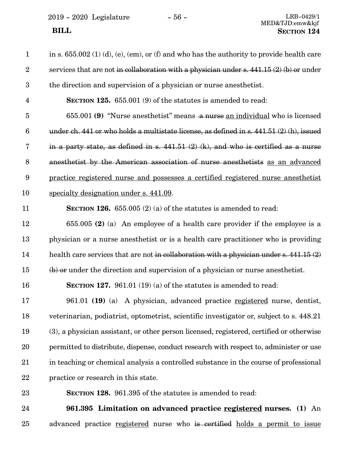| $\mathbf{1}$            | in s. $655.002$ (1) (d), (e), (em), or (f) and who has the authority to provide health care   |
|-------------------------|-----------------------------------------------------------------------------------------------|
| $\boldsymbol{2}$        | services that are not in collaboration with a physician under s. $441.15(2)(b)$ or under      |
| $\boldsymbol{3}$        | the direction and supervision of a physician or nurse anesthetist.                            |
| $\overline{\mathbf{4}}$ | <b>SECTION 125.</b> 655.001 (9) of the statutes is amended to read:                           |
| $\overline{5}$          | 655.001 (9) "Nurse anesthetist" means a nurse an individual who is licensed                   |
| $6\phantom{.}6$         | under ch. 441 or who holds a multistate license, as defined in s. $441.51\,(2)\,(h)$ , issued |
| 7                       | in a party state, as defined in s. $441.51$ (2) (k), and who is certified as a nurse          |
| $8\,$                   | anesthetist by the American association of nurse anesthetists as an advanced                  |
| $\boldsymbol{9}$        | practice registered nurse and possesses a certified registered nurse anesthetist              |
| 10                      | specialty designation under s. 441.09.                                                        |
| 11                      | <b>SECTION 126.</b> 655.005 (2) (a) of the statutes is amended to read:                       |
| 12                      | 655.005 (2) (a) An employee of a health care provider if the employee is a                    |
| 13                      | physician or a nurse anesthetist or is a health care practitioner who is providing            |
| 14                      | health care services that are not in collaboration with a physician under s. $441.15(2)$      |
| 15                      | $(b)$ or under the direction and supervision of a physician or nurse anesthetist.             |
| 16                      | SECTION 127. 961.01 $(19)$ (a) of the statutes is amended to read:                            |
| 17                      | 961.01 (19) (a) A physician, advanced practice registered nurse, dentist,                     |
| 18                      | veterinarian, podiatrist, optometrist, scientific investigator or, subject to s. 448.21       |
| 19                      | (3), a physician assistant, or other person licensed, registered, certified or otherwise      |
| 20                      | permitted to distribute, dispense, conduct research with respect to, administer or use        |
| 21                      | in teaching or chemical analysis a controlled substance in the course of professional         |
| 22                      | practice or research in this state.                                                           |
| 23                      | <b>SECTION 128.</b> 961.395 of the statutes is amended to read:                               |
| 24                      | 961.395 Limitation on advanced practice registered nurses. (1) An                             |

advanced practice registered nurse who is certified holds a permit to issue 25